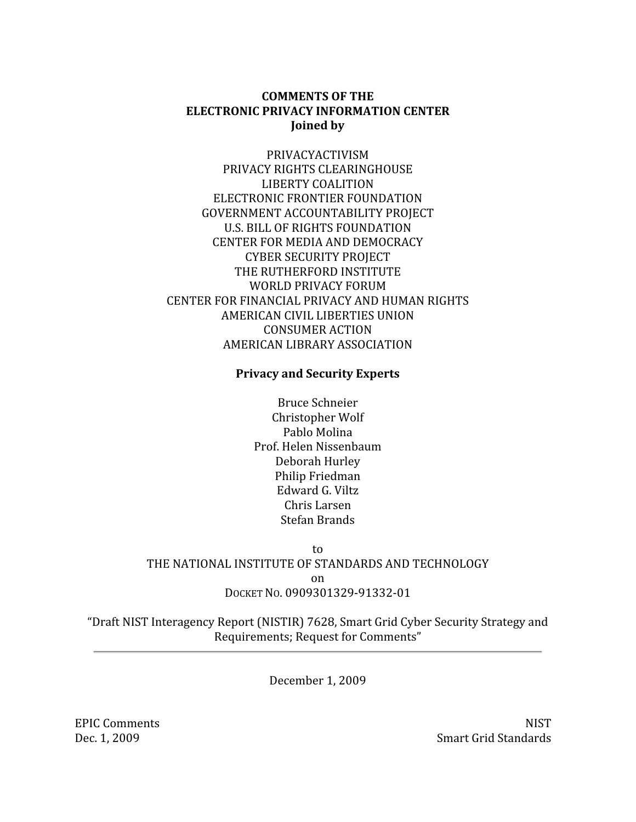# **COMMENTS OF THE ELECTRONIC PRIVACY INFORMATION CENTER** Joined by

PRIVACYACTIVISM PRIVACY RIGHTS CLEARINGHOUSE **LIBERTY COALITION** ELECTRONIC FRONTIER FOUNDATION **GOVERNMENT ACCOUNTABILITY PROJECT U.S. BILL OF RIGHTS FOUNDATION CENTER FOR MEDIA AND DEMOCRACY CYBER SECURITY PROJECT** THE RUTHERFORD INSTITUTE WORLD PRIVACY FORUM CENTER FOR FINANCIAL PRIVACY AND HUMAN RIGHTS AMERICAN CIVIL LIBERTIES UNION **CONSUMER ACTION** AMERICAN LIBRARY ASSOCIATION

# **Privacy and Security Experts**

**Bruce Schneier** Christopher Wolf Pablo Molina Prof. Helen Nissenbaum Deborah Hurley Philip Friedman Edward G. Viltz Chris Larsen Stefan Brands

to THE NATIONAL INSTITUTE OF STANDARDS AND TECHNOLOGY on DOCKET NO. 0909301329-91332-01

"Draft NIST Interagency Report (NISTIR) 7628, Smart Grid Cyber Security Strategy and Requirements; Request for Comments"

December 1, 2009

**NIST Smart Grid Standards** 

**EPIC Comments** Dec. 1, 2009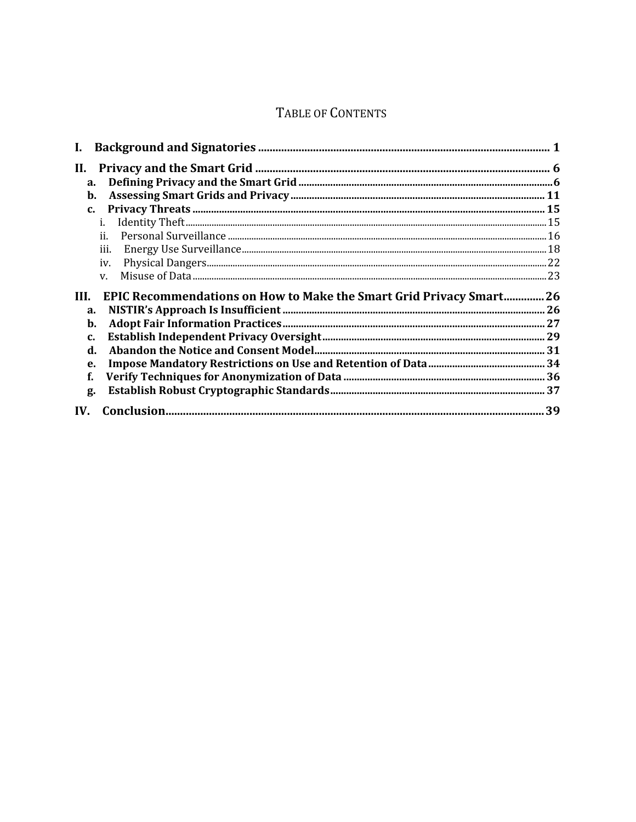# TABLE OF CONTENTS

| II.            |                                                                    |  |
|----------------|--------------------------------------------------------------------|--|
| a.             |                                                                    |  |
| b.             |                                                                    |  |
| $\mathbf{c}$ . |                                                                    |  |
|                | i.                                                                 |  |
|                | ji.                                                                |  |
|                | iii.                                                               |  |
|                | iv.                                                                |  |
|                | $V_{\cdot}$                                                        |  |
| HI.            | EPIC Recommendations on How to Make the Smart Grid Privacy Smart26 |  |
| a.             |                                                                    |  |
| b.             |                                                                    |  |
| C.             |                                                                    |  |
| d.             |                                                                    |  |
| e.             |                                                                    |  |
| f.             |                                                                    |  |
| g.             |                                                                    |  |
| IV.            |                                                                    |  |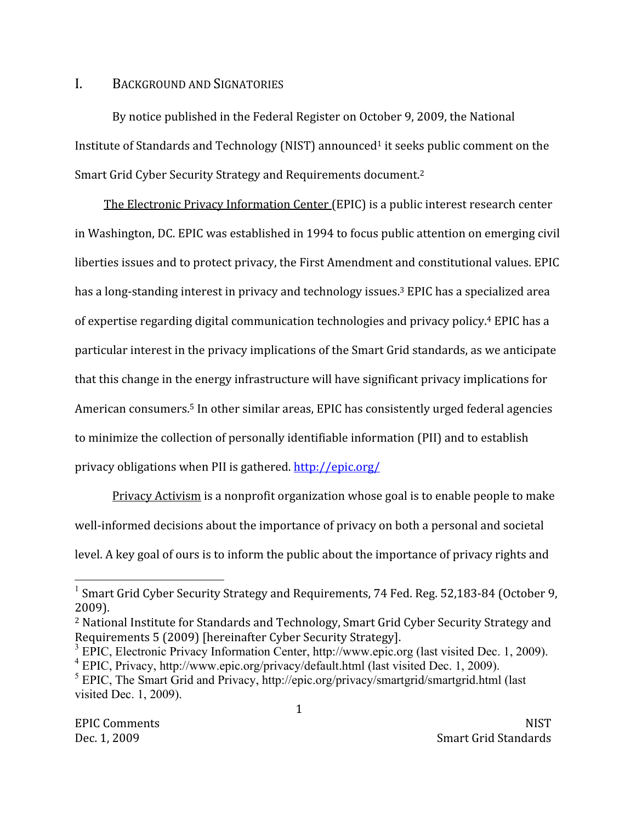#### $\mathbf{I}$ . **BACKGROUND AND SIGNATORIES**

By notice published in the Federal Register on October 9, 2009, the National Institute of Standards and Technology (NIST) announced<sup>1</sup> it seeks public comment on the Smart Grid Cyber Security Strategy and Requirements document.<sup>2</sup>

The Electronic Privacy Information Center (EPIC) is a public interest research center in Washington, DC. EPIC was established in 1994 to focus public attention on emerging civil liberties issues and to protect privacy, the First Amendment and constitutional values. EPIC has a long-standing interest in privacy and technology issues.<sup>3</sup> EPIC has a specialized area of expertise regarding digital communication technologies and privacy policy.<sup>4</sup> EPIC has a particular interest in the privacy implications of the Smart Grid standards, as we anticipate that this change in the energy infrastructure will have significant privacy implications for American consumers.<sup>5</sup> In other similar areas, EPIC has consistently urged federal agencies to minimize the collection of personally identifiable information (PII) and to establish privacy obligations when PII is gathered. http://epic.org/

Privacy Activism is a nonprofit organization whose goal is to enable people to make well-informed decisions about the importance of privacy on both a personal and societal level. A key goal of ours is to inform the public about the importance of privacy rights and

<sup>&</sup>lt;sup>1</sup> Smart Grid Cvber Security Strategy and Requirements, 74 Fed. Reg. 52,183-84 (October 9,  $2009$ ).

<sup>&</sup>lt;sup>2</sup> National Institute for Standards and Technology, Smart Grid Cyber Security Strategy and Requirements 5 (2009) [hereinafter Cyber Security Strategy].

 $3$  EPIC, Electronic Privacy Information Center, http://www.epic.org (last visited Dec. 1, 2009). <sup>4</sup> EPIC, Privacy, http://www.epic.org/privacy/default.html (last visited Dec. 1, 2009).

 $5$  EPIC, The Smart Grid and Privacy, http://epic.org/privacy/smartgrid/smartgrid.html (last visited Dec. 1, 2009).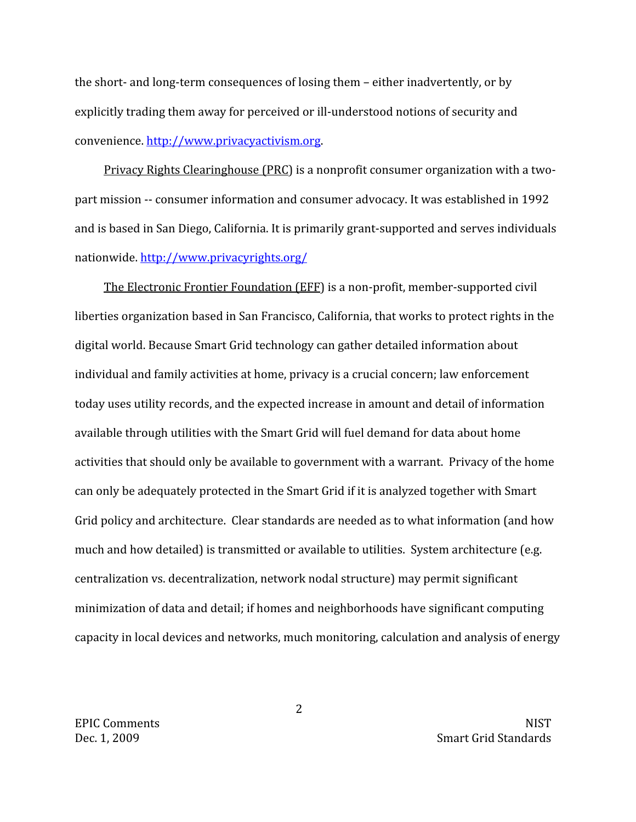the short- and long-term consequences of losing them – either inadvertently, or by explicitly trading them away for perceived or ill-understood notions of security and convenience. http://www.privacyactivism.org.

Privacy Rights Clearinghouse (PRC) is a nonprofit consumer organization with a twopart mission -- consumer information and consumer advocacy. It was established in 1992 and is based in San Diego, California. It is primarily grant-supported and serves individuals nationwide.http://www.privacyrights.org/

The Electronic Frontier Foundation (EFF) is a non-profit, member-supported civil liberties organization based in San Francisco, California, that works to protect rights in the digital world. Because Smart Grid technology can gather detailed information about individual and family activities at home, privacy is a crucial concern; law enforcement today uses utility records, and the expected increase in amount and detail of information available through utilities with the Smart Grid will fuel demand for data about home activities that should only be available to government with a warrant. Privacy of the home can only be adequately protected in the Smart Grid if it is analyzed together with Smart Grid policy and architecture. Clear standards are needed as to what information (and how much and how detailed) is transmitted or available to utilities. System architecture (e.g. centralization vs. decentralization, network nodal structure) may permit significant minimization of data and detail; if homes and neighborhoods have significant computing capacity in local devices and networks, much monitoring, calculation and analysis of energy

**EPIC Comments** Dec. 1, 2009

**NIST Smart Grid Standards** 

 $\overline{2}$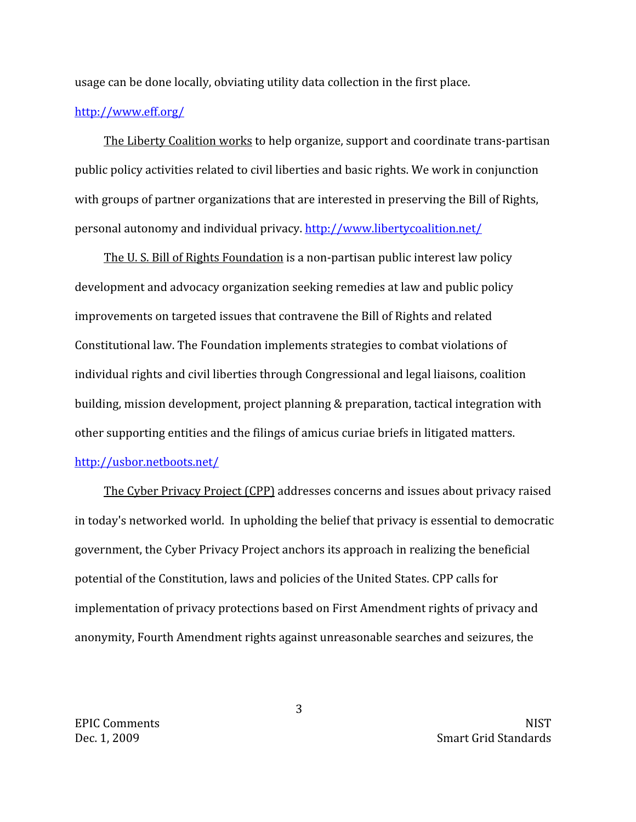usage can be done locally, obviating utility data collection in the first place.

# http://www.eff.org/

The Liberty Coalition works to help organize, support and coordinate trans-partisan public policy activities related to civil liberties and basic rights. We work in conjunction with groups of partner organizations that are interested in preserving the Bill of Rights, personal autonomy and individual privacy. http://www.libertycoalition.net/

The U.S. Bill of Rights Foundation is a non-partisan public interest law policy development and advocacy organization seeking remedies at law and public policy improvements on targeted issues that contravene the Bill of Rights and related Constitutional law. The Foundation implements strategies to combat violations of individual rights and civil liberties through Congressional and legal liaisons, coalition building, mission development, project planning & preparation, tactical integration with other supporting entities and the filings of amicus curiae briefs in litigated matters.

# http://usbor.netboots.net/

The Cyber Privacy Project (CPP) addresses concerns and issues about privacy raised in today's networked world. In upholding the belief that privacy is essential to democratic government, the Cyber Privacy Project anchors its approach in realizing the beneficial potential of the Constitution, laws and policies of the United States. CPP calls for implementation of privacy protections based on First Amendment rights of privacy and anonymity, Fourth Amendment rights against unreasonable searches and seizures, the

**EPIC Comments** Dec. 1, 2009

**NIST Smart Grid Standards** 

3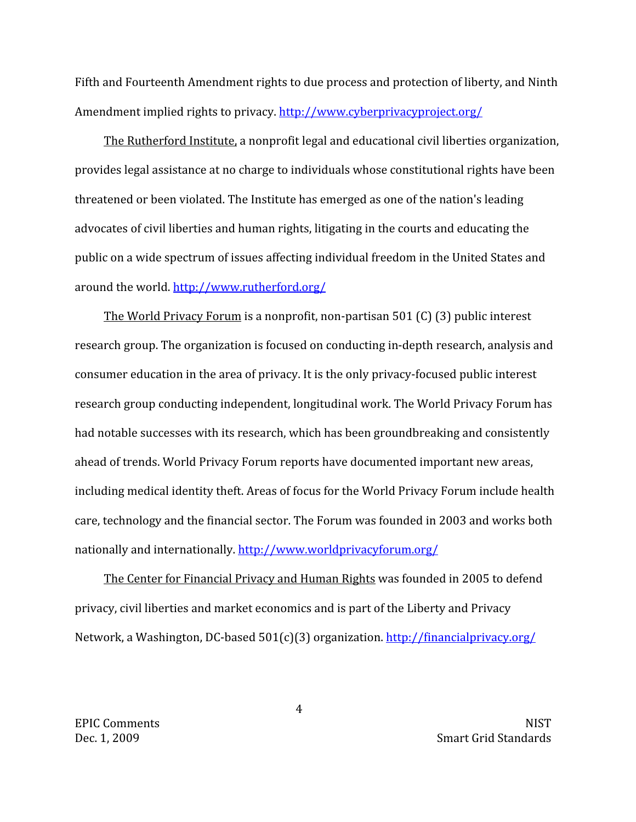Fifth and Fourteenth Amendment rights to due process and protection of liberty, and Ninth Amendment implied rights to privacy. http://www.cyberprivacyproject.org/

The Rutherford Institute, a nonprofit legal and educational civil liberties organization, provides legal assistance at no charge to individuals whose constitutional rights have been threatened or been violated. The Institute has emerged as one of the nation's leading advocates of civil liberties and human rights, litigating in the courts and educating the public on a wide spectrum of issues affecting individual freedom in the United States and around the world, http://www.rutherford.org/

The World Privacy Forum is a nonprofit, non-partisan 501 (C) (3) public interest research group. The organization is focused on conducting in-depth research, analysis and consumer education in the area of privacy. It is the only privacy-focused public interest research group conducting independent, longitudinal work. The World Privacy Forum has had notable successes with its research, which has been groundbreaking and consistently ahead of trends. World Privacy Forum reports have documented important new areas, including medical identity theft. Areas of focus for the World Privacy Forum include health care, technology and the financial sector. The Forum was founded in 2003 and works both nationally and internationally. http://www.worldprivacyforum.org/

The Center for Financial Privacy and Human Rights was founded in 2005 to defend privacy, civil liberties and market economics and is part of the Liberty and Privacy Network, a Washington, DC-based 501(c)(3) organization. http://financialprivacy.org/

**EPIC Comments** Dec. 1, 2009

**NIST Smart Grid Standards** 

 $\overline{4}$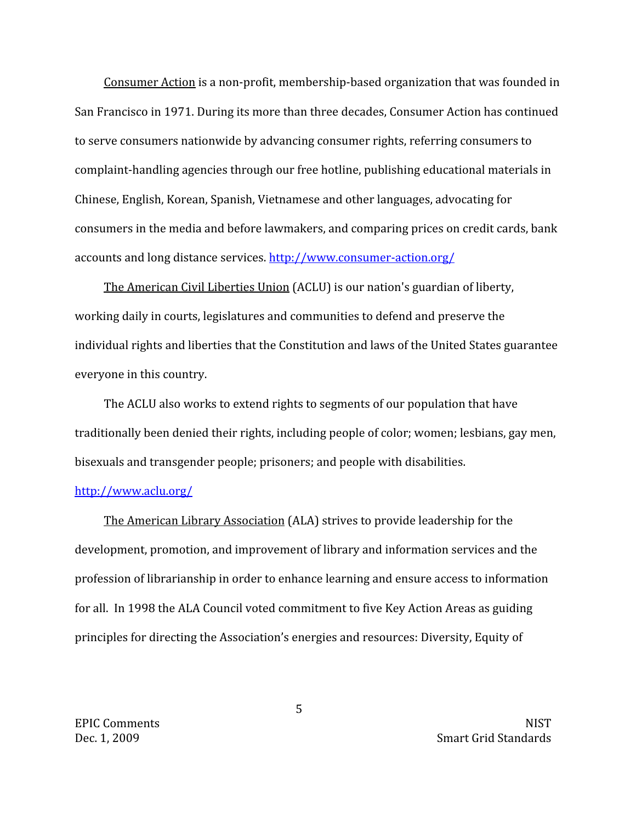Consumer Action is a non-profit, membership-based organization that was founded in San Francisco in 1971. During its more than three decades, Consumer Action has continued to serve consumers nationwide by advancing consumer rights, referring consumers to complaint-handling agencies through our free hotline, publishing educational materials in Chinese, English, Korean, Spanish, Vietnamese and other languages, advocating for consumers in the media and before lawmakers, and comparing prices on credit cards, bank accounts and long distance services. http://www.consumer-action.org/

The American Civil Liberties Union (ACLU) is our nation's guardian of liberty, working daily in courts, legislatures and communities to defend and preserve the individual rights and liberties that the Constitution and laws of the United States guarantee everyone in this country.

The ACLU also works to extend rights to segments of our population that have traditionally been denied their rights, including people of color; women; lesbians, gay men, bisexuals and transgender people; prisoners; and people with disabilities.

# http://www.aclu.org/

The American Library Association (ALA) strives to provide leadership for the development, promotion, and improvement of library and information services and the profession of librarianship in order to enhance learning and ensure access to information for all. In 1998 the ALA Council voted commitment to five Key Action Areas as guiding principles for directing the Association's energies and resources: Diversity, Equity of

**EPIC Comments** Dec. 1, 2009

**NIST Smart Grid Standards** 

5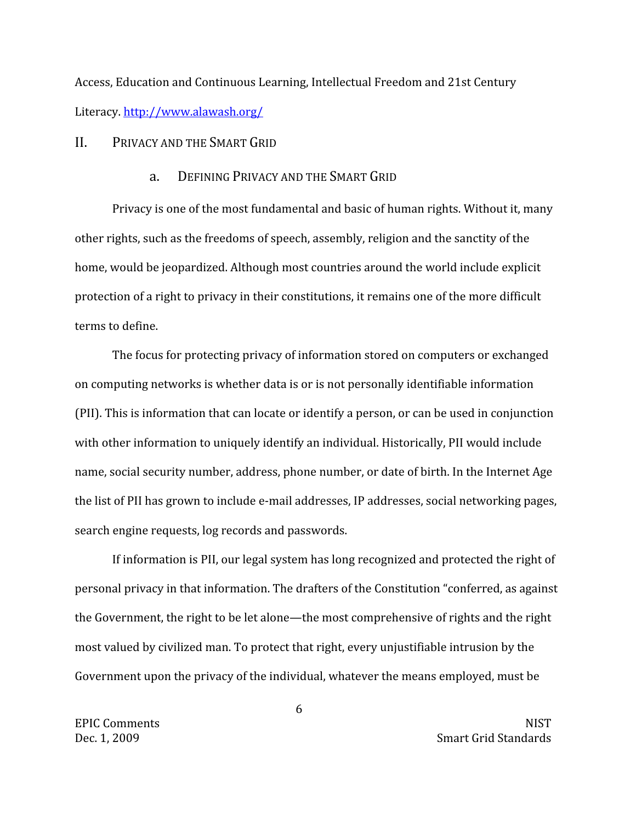Access, Education and Continuous Learning, Intellectual Freedom and 21st Century Literacy. http://www.alawash.org/

PRIVACY AND THE SMART GRID  $II.$ 

#### DEFINING PRIVACY AND THE SMART GRID  $\overline{a}$ .

Privacy is one of the most fundamental and basic of human rights. Without it, many other rights, such as the freedoms of speech, assembly, religion and the sanctity of the home, would be jeopardized. Although most countries around the world include explicit protection of a right to privacy in their constitutions, it remains one of the more difficult terms to define.

The focus for protecting privacy of information stored on computers or exchanged on computing networks is whether data is or is not personally identifiable information (PII). This is information that can locate or identify a person, or can be used in conjunction with other information to uniquely identify an individual. Historically, PII would include name, social security number, address, phone number, or date of birth. In the Internet Age the list of PII has grown to include e-mail addresses, IP addresses, social networking pages, search engine requests, log records and passwords.

If information is PII, our legal system has long recognized and protected the right of personal privacy in that information. The drafters of the Constitution "conferred, as against the Government, the right to be let alone—the most comprehensive of rights and the right most valued by civilized man. To protect that right, every unjustifiable intrusion by the Government upon the privacy of the individual, whatever the means employed, must be

**EPIC Comments** Dec. 1, 2009

6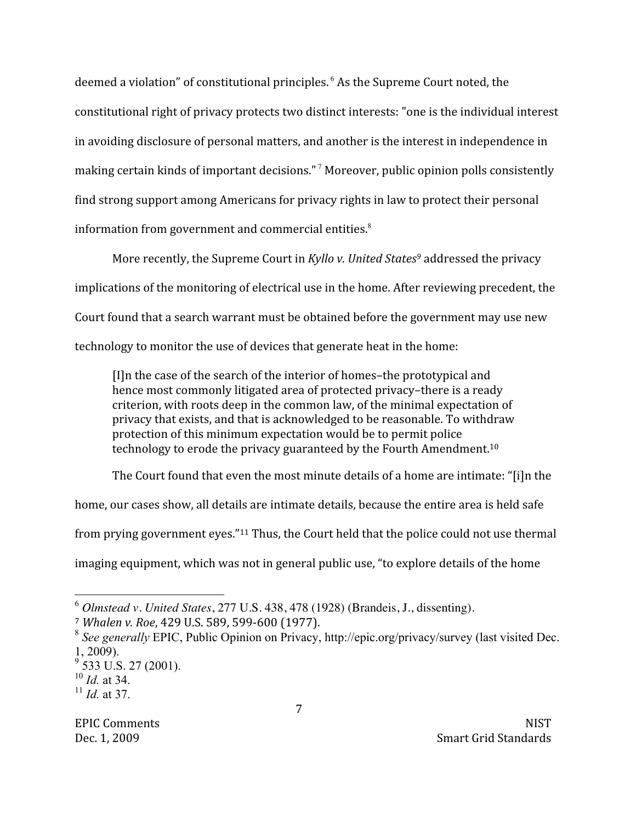deemed a violation" of constitutional principles.<sup>6</sup> As the Supreme Court noted, the constitutional right of privacy protects two distinct interests: "one is the individual interest in avoiding disclosure of personal matters, and another is the interest in independence in making certain kinds of important decisions."<sup>7</sup> Moreover, public opinion polls consistently find strong support among Americans for privacy rights in law to protect their personal information from government and commercial entities.<sup>8</sup>

More recently, the Supreme Court in Kyllo v. United States<sup>9</sup> addressed the privacy implications of the monitoring of electrical use in the home. After reviewing precedent, the Court found that a search warrant must be obtained before the government may use new technology to monitor the use of devices that generate heat in the home:

[I] n the case of the search of the interior of homes-the prototypical and hence most commonly litigated area of protected privacy-there is a ready criterion, with roots deep in the common law, of the minimal expectation of privacy that exists, and that is acknowledged to be reasonable. To withdraw protection of this minimum expectation would be to permit police technology to erode the privacy guaranteed by the Fourth Amendment.<sup>10</sup>

The Court found that even the most minute details of a home are intimate: "[i]n the

home, our cases show, all details are intimate details, because the entire area is held safe

from prying government eyes."<sup>11</sup> Thus, the Court held that the police could not use thermal

imaging equipment, which was not in general public use, "to explore details of the home

 $^6$  Olmstead v. United States, 277 U.S. 438, 478 (1928) (Brandeis, J., dissenting).

<sup>&</sup>lt;sup>7</sup> Whalen v. Roe, 429 U.S. 589, 599-600 (1977).

 $8$  See generally EPIC, Public Opinion on Privacy, http://epic.org/privacy/survey (last visited Dec.  $1, 2009$ ).

 $\frac{9}{9}$  533 U.S. 27 (2001).

 $10$  *Id.* at 34.

 $^{11}$  *Id* at 37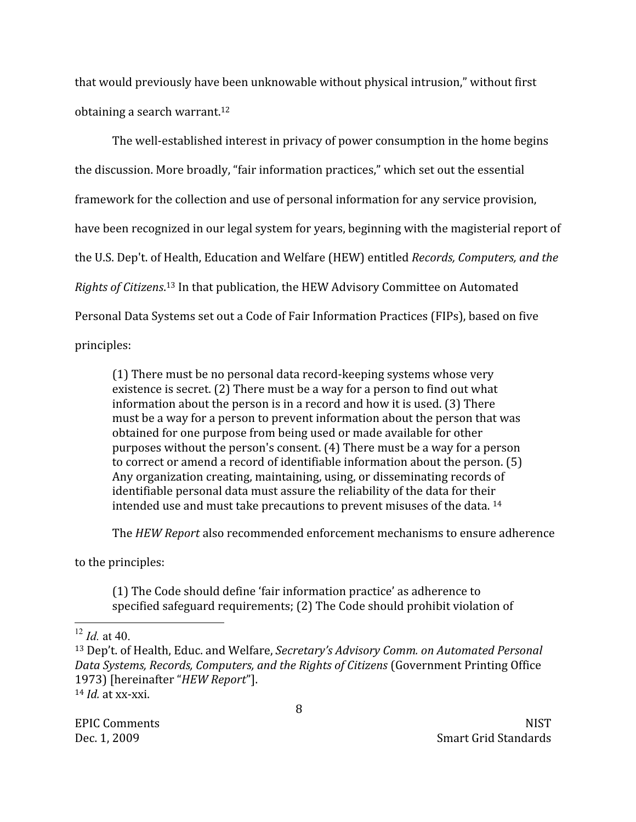that would previously have been unknowable without physical intrusion," without first obtaining a search warrant.<sup>12</sup>

The well-established interest in privacy of power consumption in the home begins the discussion. More broadly, "fair information practices," which set out the essential framework for the collection and use of personal information for any service provision, have been recognized in our legal system for years, beginning with the magisterial report of the U.S. Dep't. of Health, Education and Welfare (HEW) entitled Records, Computers, and the Rights of Citizens.<sup>13</sup> In that publication, the HEW Advisory Committee on Automated Personal Data Systems set out a Code of Fair Information Practices (FIPs), based on five principles:

(1) There must be no personal data record-keeping systems whose very existence is secret. (2) There must be a way for a person to find out what information about the person is in a record and how it is used. (3) There must be a way for a person to prevent information about the person that was obtained for one purpose from being used or made available for other purposes without the person's consent. (4) There must be a way for a person to correct or amend a record of identifiable information about the person. (5) Any organization creating, maintaining, using, or disseminating records of identifiable personal data must assure the reliability of the data for their intended use and must take precautions to prevent misuses of the data. 14

The HEW Report also recommended enforcement mechanisms to ensure adherence

to the principles:

(1) The Code should define 'fair information practice' as adherence to specified safeguard requirements; (2) The Code should prohibit violation of

**EPIC Comments** Dec. 1, 2009

**NIST** Smart Grid Standards

 $^{12}$  *Id* at 40

<sup>&</sup>lt;sup>13</sup> Dep't. of Health, Educ. and Welfare, Secretary's Advisory Comm. on Automated Personal Data Systems, Records, Computers, and the Rights of Citizens (Government Printing Office 1973) [hereinafter "HEW Report"].  $14$  *Id.* at xx-xxi.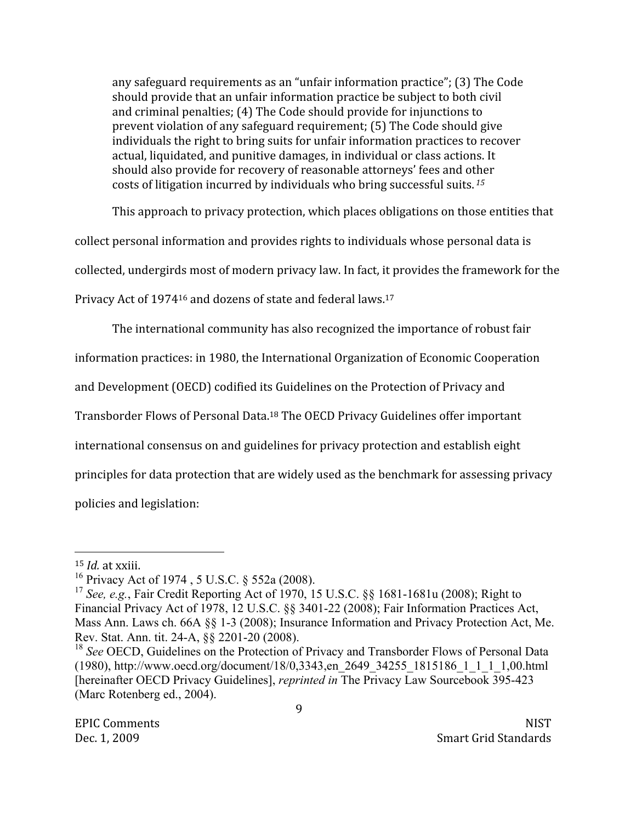any safeguard requirements as an "unfair information practice"; (3) The Code should provide that an unfair information practice be subject to both civil and criminal penalties; (4) The Code should provide for injunctions to prevent violation of any safeguard requirement; (5) The Code should give individuals the right to bring suits for unfair information practices to recover actual, liquidated, and punitive damages, in individual or class actions. It should also provide for recovery of reasonable attorneys' fees and other costs of litigation incurred by individuals who bring successful suits.<sup>15</sup>

This approach to privacy protection, which places obligations on those entities that

collect personal information and provides rights to individuals whose personal data is

collected, undergirds most of modern privacy law. In fact, it provides the framework for the

Privacy Act of 1974<sup>16</sup> and dozens of state and federal laws.<sup>17</sup>

The international community has also recognized the importance of robust fair

information practices: in 1980, the International Organization of Economic Cooperation

and Development (OECD) codified its Guidelines on the Protection of Privacy and

Transborder Flows of Personal Data.<sup>18</sup> The OECD Privacy Guidelines offer important

international consensus on and guidelines for privacy protection and establish eight

principles for data protection that are widely used as the benchmark for assessing privacy

policies and legislation:

 $15$  *Id.* at xxiii.

<sup>&</sup>lt;sup>16</sup> Privacy Act of 1974, 5 U.S.C. § 552a (2008).

<sup>&</sup>lt;sup>17</sup> See, e.g., Fair Credit Reporting Act of 1970, 15 U.S.C. §§ 1681-1681u (2008); Right to Financial Privacy Act of 1978, 12 U.S.C. §§ 3401-22 (2008); Fair Information Practices Act, Mass Ann. Laws ch. 66A §§ 1-3 (2008); Insurance Information and Privacy Protection Act, Me. Rev. Stat. Ann. tit. 24-A, §§ 2201-20 (2008).

<sup>&</sup>lt;sup>18</sup> See OECD, Guidelines on the Protection of Privacy and Transborder Flows of Personal Data (1980), http://www.oecd.org/document/18/0,3343,en 2649 34255 1815186 1 1 1 1,00.html [hereinafter OECD Privacy Guidelines], *reprinted in* The Privacy Law Sourcebook 395-423 (Marc Rotenberg ed., 2004).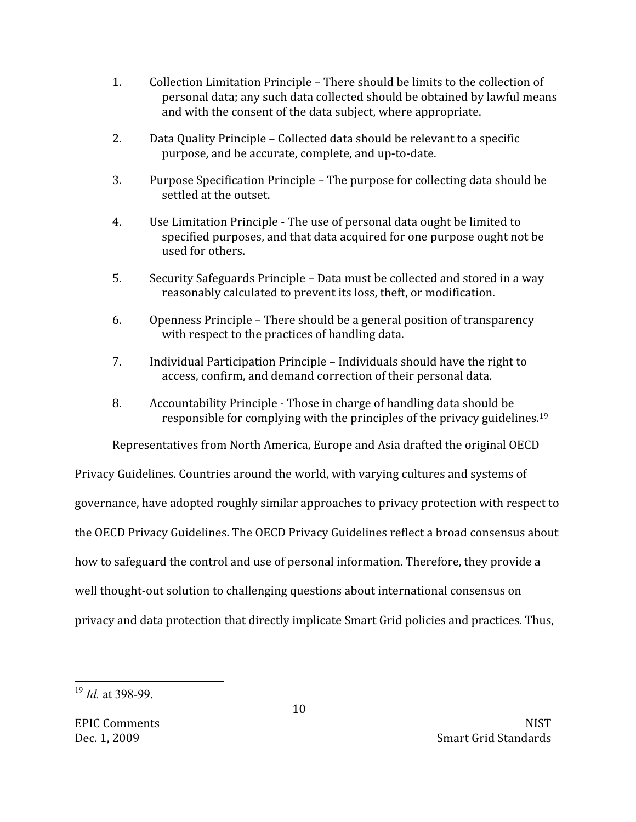- $1<sub>1</sub>$ Collection Limitation Principle – There should be limits to the collection of personal data; any such data collected should be obtained by lawful means and with the consent of the data subject, where appropriate.
- $2.$ Data Quality Principle - Collected data should be relevant to a specific purpose, and be accurate, complete, and up-to-date.
- 3. Purpose Specification Principle – The purpose for collecting data should be settled at the outset.
- $4.$ Use Limitation Principle - The use of personal data ought be limited to specified purposes, and that data acquired for one purpose ought not be used for others.
- 5. Security Safeguards Principle – Data must be collected and stored in a way reasonably calculated to prevent its loss, theft, or modification.
- 6. Openness Principle - There should be a general position of transparency with respect to the practices of handling data.
- $7<sup>1</sup>$ Individual Participation Principle – Individuals should have the right to access, confirm, and demand correction of their personal data.
- $\mathsf{R}_{\cdot}$ Accountability Principle - Those in charge of handling data should be responsible for complying with the principles of the privacy guidelines.<sup>19</sup>

Representatives from North America, Europe and Asia drafted the original OECD

Privacy Guidelines. Countries around the world, with varying cultures and systems of governance, have adopted roughly similar approaches to privacy protection with respect to the OECD Privacy Guidelines. The OECD Privacy Guidelines reflect a broad consensus about how to safeguard the control and use of personal information. Therefore, they provide a well thought-out solution to challenging questions about international consensus on privacy and data protection that directly implicate Smart Grid policies and practices. Thus,

 $^{19}$  *Id* at 398-99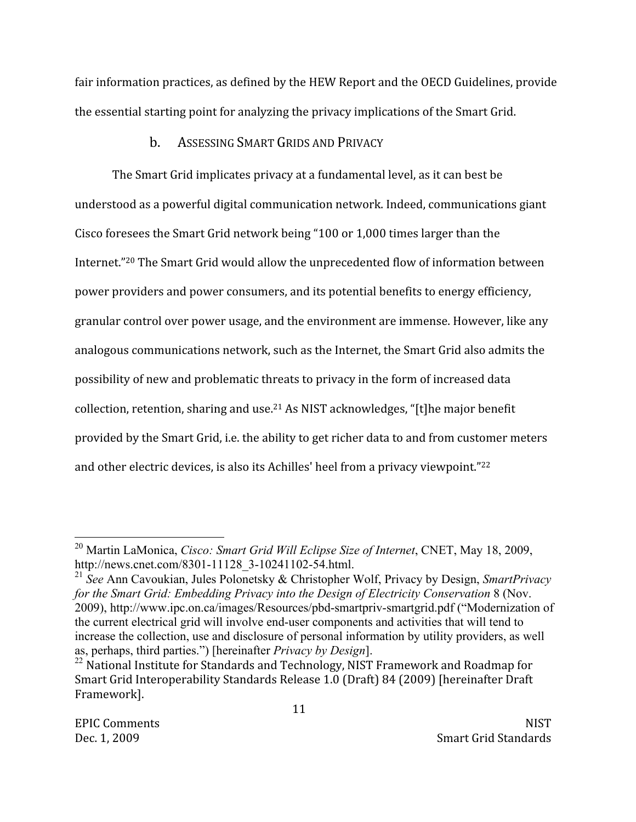fair information practices, as defined by the HEW Report and the OECD Guidelines, provide the essential starting point for analyzing the privacy implications of the Smart Grid.

### ASSESSING SMART GRIDS AND PRIVACY  $<sub>b</sub>$ .</sub>

The Smart Grid implicates privacy at a fundamental level, as it can best be understood as a powerful digital communication network. Indeed, communications giant Cisco foresees the Smart Grid network being "100 or 1,000 times larger than the Internet."<sup>20</sup> The Smart Grid would allow the unprecedented flow of information between power providers and power consumers, and its potential benefits to energy efficiency, granular control over power usage, and the environment are immense. However, like any analogous communications network, such as the Internet, the Smart Grid also admits the possibility of new and problematic threats to privacy in the form of increased data collection, retention, sharing and use.<sup>21</sup> As NIST acknowledges, "[t]he major benefit provided by the Smart Grid, i.e. the ability to get richer data to and from customer meters and other electric devices, is also its Achilles' heel from a privacy viewpoint."22

<sup>&</sup>lt;sup>20</sup> Martin LaMonica, *Cisco: Smart Grid Will Eclipse Size of Internet*, CNET, May 18, 2009, http://news.cnet.com/8301-11128 3-10241102-54.html.

<sup>&</sup>lt;sup>21</sup> See Ann Cavoukian, Jules Polonetsky & Christopher Wolf, Privacy by Design, SmartPrivacy for the Smart Grid: Embedding Privacy into the Design of Electricity Conservation 8 (Nov. 2009), http://www.ipc.on.ca/images/Resources/pbd-smartpriv-smartgrid.pdf ("Modernization of the current electrical grid will involve end-user components and activities that will tend to increase the collection, use and disclosure of personal information by utility providers, as well as, perhaps, third parties.") [hereinafter *Privacy by Design*].

<sup>&</sup>lt;sup>22</sup> National Institute for Standards and Technology, NIST Framework and Roadmap for Smart Grid Interoperability Standards Release 1.0 (Draft) 84 (2009) [hereinafter Draft Framework].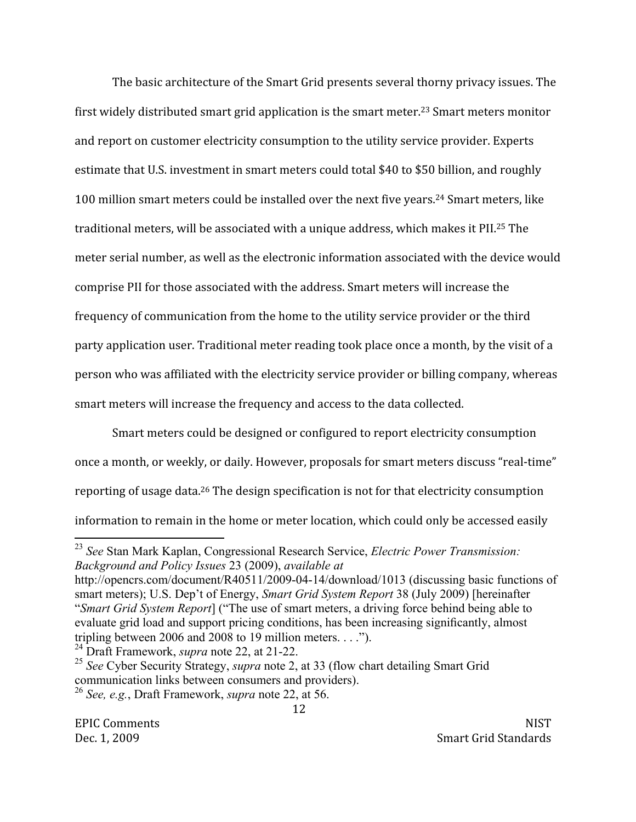The basic architecture of the Smart Grid presents several thorny privacy issues. The first widely distributed smart grid application is the smart meter.<sup>23</sup> Smart meters monitor and report on customer electricity consumption to the utility service provider. Experts estimate that U.S. investment in smart meters could total \$40 to \$50 billion, and roughly 100 million smart meters could be installed over the next five years.<sup>24</sup> Smart meters, like traditional meters, will be associated with a unique address, which makes it PII.<sup>25</sup> The meter serial number, as well as the electronic information associated with the device would comprise PII for those associated with the address. Smart meters will increase the frequency of communication from the home to the utility service provider or the third party application user. Traditional meter reading took place once a month, by the visit of a person who was affiliated with the electricity service provider or billing company, whereas smart meters will increase the frequency and access to the data collected.

Smart meters could be designed or configured to report electricity consumption once a month, or weekly, or daily. However, proposals for smart meters discuss "real-time" reporting of usage data.<sup>26</sup> The design specification is not for that electricity consumption information to remain in the home or meter location, which could only be accessed easily

<sup>&</sup>lt;sup>23</sup> See Stan Mark Kaplan, Congressional Research Service, Electric Power Transmission: Background and Policy Issues 23 (2009), available at

http://opencrs.com/document/R40511/2009-04-14/download/1013 (discussing basic functions of smart meters); U.S. Dep't of Energy, Smart Grid System Report 38 (July 2009) [hereinafter "Smart Grid System Report] ("The use of smart meters, a driving force behind being able to evaluate grid load and support pricing conditions, has been increasing significantly, almost tripling between 2006 and 2008 to 19 million meters....").

<sup>&</sup>lt;sup>24</sup> Draft Framework, *supra* note 22, at 21-22.

<sup>&</sup>lt;sup>25</sup> See Cyber Security Strategy, *supra* note 2, at 33 (flow chart detailing Smart Grid communication links between consumers and providers). <sup>26</sup> See, e.g., Draft Framework, *supra* note 22, at 56.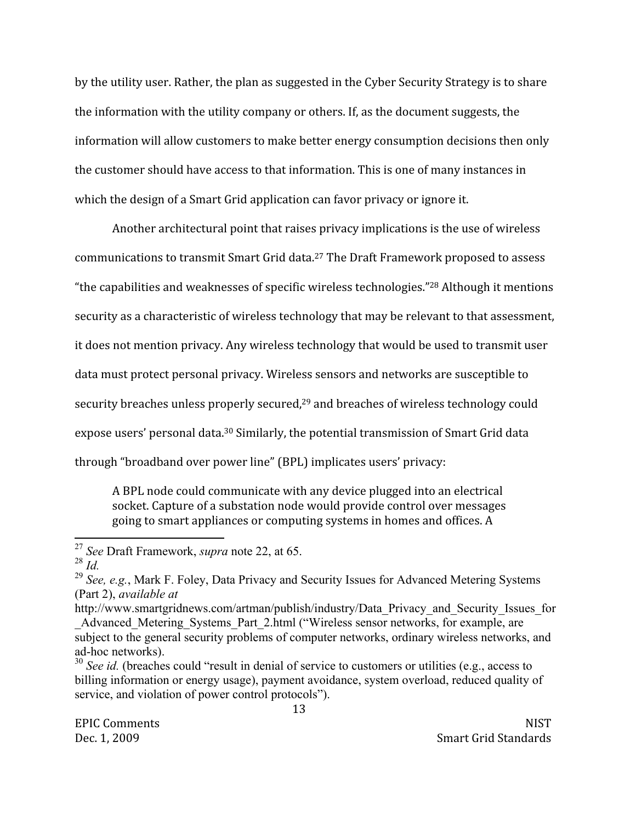by the utility user. Rather, the plan as suggested in the Cyber Security Strategy is to share the information with the utility company or others. If, as the document suggests, the information will allow customers to make better energy consumption decisions then only the customer should have access to that information. This is one of many instances in which the design of a Smart Grid application can favor privacy or ignore it.

Another architectural point that raises privacy implications is the use of wireless communications to transmit Smart Grid data.<sup>27</sup> The Draft Framework proposed to assess "the capabilities and weaknesses of specific wireless technologies."<sup>28</sup> Although it mentions security as a characteristic of wireless technology that may be relevant to that assessment, it does not mention privacy. Any wireless technology that would be used to transmit user data must protect personal privacy. Wireless sensors and networks are susceptible to security breaches unless properly secured,<sup>29</sup> and breaches of wireless technology could expose users' personal data.<sup>30</sup> Similarly, the potential transmission of Smart Grid data through "broadband over power line" (BPL) implicates users' privacy:

A BPL node could communicate with any device plugged into an electrical socket. Capture of a substation node would provide control over messages going to smart appliances or computing systems in homes and offices. A

<sup>&</sup>lt;sup>27</sup> See Draft Framework, *supra* note 22, at 65.

 $28$   $\overline{Id}$ .

<sup>&</sup>lt;sup>29</sup> See, e.g., Mark F. Foley, Data Privacy and Security Issues for Advanced Metering Systems (Part 2), *available at* 

http://www.smartgridnews.com/artman/publish/industry/Data Privacy and Security Issues for Advanced Metering Systems Part 2.html ("Wireless sensor networks, for example, are subject to the general security problems of computer networks, ordinary wireless networks, and ad-hoc networks).

 $30$  See id. (breaches could "result in denial of service to customers or utilities (e.g., access to billing information or energy usage), payment avoidance, system overload, reduced quality of service, and violation of power control protocols").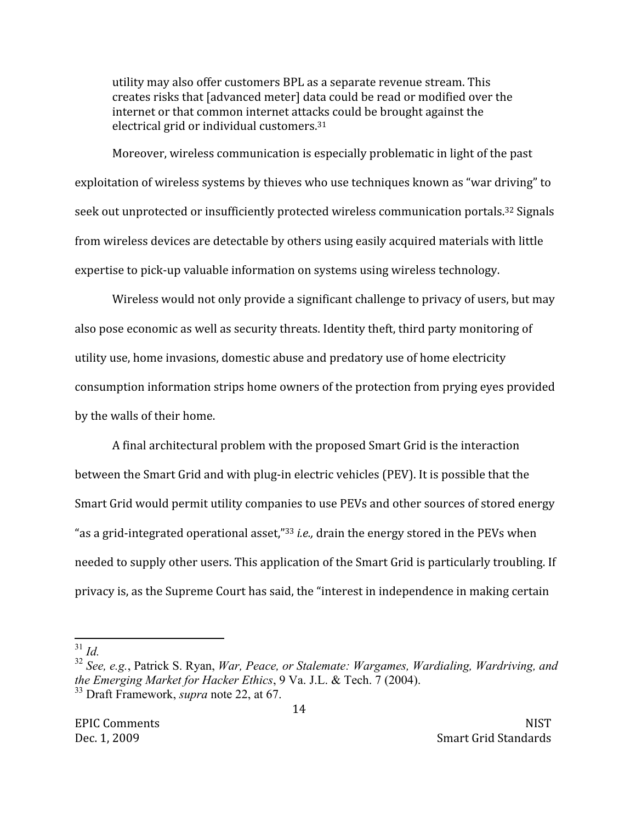utility may also offer customers BPL as a separate revenue stream. This creates risks that [advanced meter] data could be read or modified over the internet or that common internet attacks could be brought against the electrical grid or individual customers.<sup>31</sup>

Moreover, wireless communication is especially problematic in light of the past exploitation of wireless systems by thieves who use techniques known as "war driving" to seek out unprotected or insufficiently protected wireless communication portals.<sup>32</sup> Signals from wireless devices are detectable by others using easily acquired materials with little expertise to pick-up valuable information on systems using wireless technology.

Wireless would not only provide a significant challenge to privacy of users, but may also pose economic as well as security threats. Identity theft, third party monitoring of utility use, home invasions, domestic abuse and predatory use of home electricity consumption information strips home owners of the protection from prying eyes provided by the walls of their home.

A final architectural problem with the proposed Smart Grid is the interaction between the Smart Grid and with plug-in electric vehicles (PEV). It is possible that the Smart Grid would permit utility companies to use PEVs and other sources of stored energy "as a grid-integrated operational asset,"<sup>33</sup> *i.e.*, drain the energy stored in the PEVs when needed to supply other users. This application of the Smart Grid is particularly troubling. If privacy is, as the Supreme Court has said, the "interest in independence in making certain

 $31$  Id.

<sup>&</sup>lt;sup>32</sup> See, e.g., Patrick S. Ryan, War, Peace, or Stalemate: Wargames, Wardialing, Wardriving, and the Emerging Market for Hacker Ethics, 9 Va. J.L. & Tech. 7 (2004).

<sup>&</sup>lt;sup>33</sup> Draft Framework, *supra* note 22, at 67.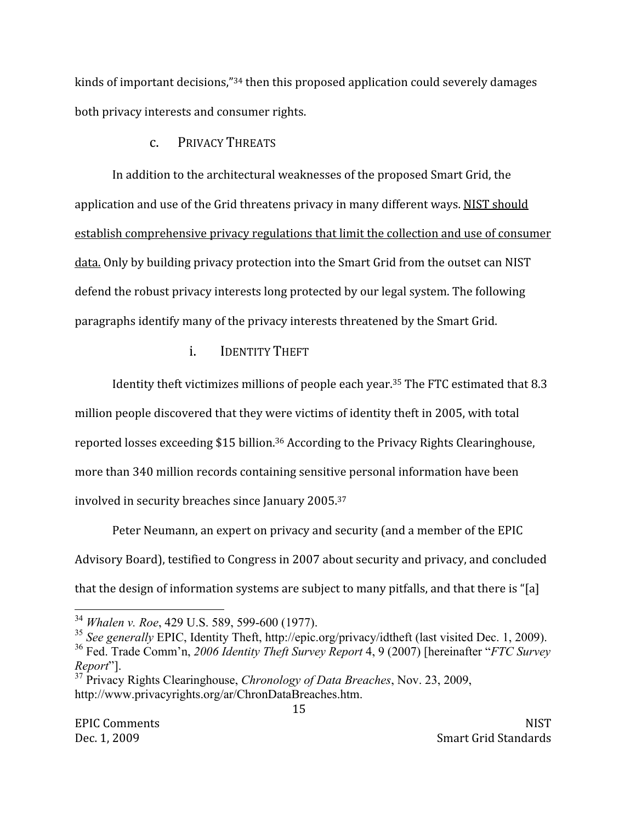kinds of important decisions,"34 then this proposed application could severely damages both privacy interests and consumer rights.

# PRIVACY THREATS  $C_{\cdot}$

In addition to the architectural weaknesses of the proposed Smart Grid, the application and use of the Grid threatens privacy in many different ways. NIST should establish comprehensive privacy regulations that limit the collection and use of consumer data. Only by building privacy protection into the Smart Grid from the outset can NIST defend the robust privacy interests long protected by our legal system. The following paragraphs identify many of the privacy interests threatened by the Smart Grid.

# $\mathbf{i}$ . **IDENTITY THEFT**

Identity theft victimizes millions of people each year.<sup>35</sup> The FTC estimated that 8.3

million people discovered that they were victims of identity theft in 2005, with total reported losses exceeding \$15 billion.<sup>36</sup> According to the Privacy Rights Clearinghouse, more than 340 million records containing sensitive personal information have been involved in security breaches since January 2005.37

Peter Neumann, an expert on privacy and security (and a member of the EPIC Advisory Board), testified to Congress in 2007 about security and privacy, and concluded that the design of information systems are subject to many pitfalls, and that there is "[a]

<sup>&</sup>lt;sup>34</sup> Whalen v. Roe, 429 U.S. 589, 599-600 (1977).

<sup>&</sup>lt;sup>35</sup> See generally EPIC, Identity Theft, http://epic.org/privacy/idtheft (last visited Dec. 1, 2009).

<sup>&</sup>lt;sup>36</sup> Fed. Trade Comm'n, 2006 Identity Theft Survey Report 4, 9 (2007) [hereinafter "FTC Survey" Report"].

<sup>&</sup>lt;sup>37</sup> Privacy Rights Clearinghouse, *Chronology of Data Breaches*, Nov. 23, 2009, http://www.privacyrights.org/ar/ChronDataBreaches.htm.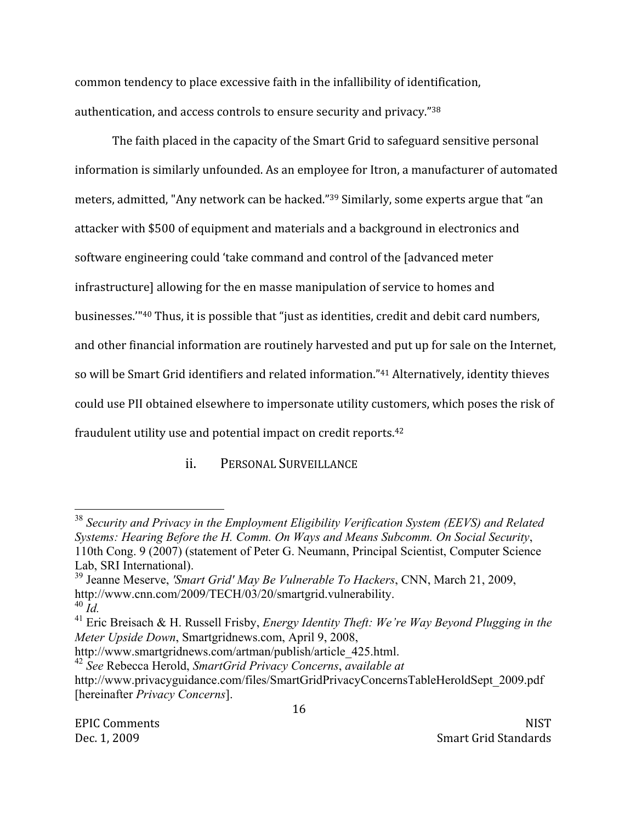common tendency to place excessive faith in the infallibility of identification, authentication, and access controls to ensure security and privacy."38

The faith placed in the capacity of the Smart Grid to safeguard sensitive personal information is similarly unfounded. As an employee for Itron, a manufacturer of automated meters, admitted, "Any network can be hacked."<sup>39</sup> Similarly, some experts argue that "an attacker with \$500 of equipment and materials and a background in electronics and software engineering could 'take command and control of the Jadvanced meter infrastructure] allowing for the en masse manipulation of service to homes and businesses."<sup>40</sup> Thus, it is possible that "just as identities, credit and debit card numbers, and other financial information are routinely harvested and put up for sale on the Internet, so will be Smart Grid identifiers and related information."41 Alternatively, identity thieves could use PII obtained elsewhere to impersonate utility customers, which poses the risk of fraudulent utility use and potential impact on credit reports.<sup>42</sup>

> PERSONAL SURVEILLANCE  $ii$ .

<sup>&</sup>lt;sup>38</sup> Security and Privacy in the Employment Eligibility Verification System (EEVS) and Related Systems: Hearing Before the H. Comm. On Ways and Means Subcomm. On Social Security, 110th Cong. 9 (2007) (statement of Peter G. Neumann, Principal Scientist, Computer Science Lab, SRI International).

<sup>&</sup>lt;sup>39</sup> Jeanne Meserve, 'Smart Grid' May Be Vulnerable To Hackers, CNN, March 21, 2009, http://www.cnn.com/2009/TECH/03/20/smartgrid.vulnerability.  $^{40}$  Id.

<sup>&</sup>lt;sup>41</sup> Eric Breisach & H. Russell Frisby, *Energy Identity Theft: We're Way Beyond Plugging in the* Meter Upside Down, Smartgridnews.com, April 9, 2008,

http://www.smartgridnews.com/artman/publish/article 425.html.

<sup>&</sup>lt;sup>42</sup> See Rebecca Herold, SmartGrid Privacy Concerns, available at http://www.privacyguidance.com/files/SmartGridPrivacyConcernsTableHeroldSept 2009.pdf [hereinafter *Privacy Concerns*].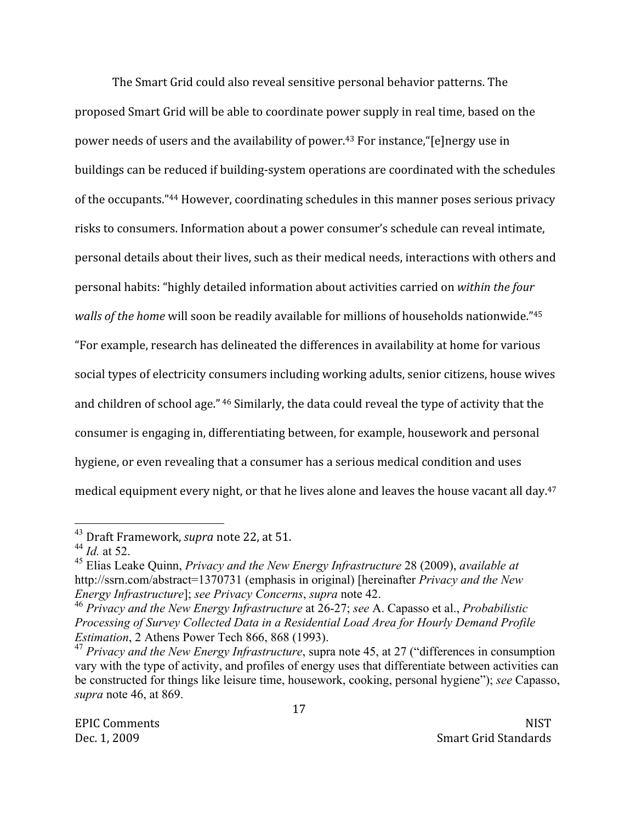The Smart Grid could also reveal sensitive personal behavior patterns. The proposed Smart Grid will be able to coordinate power supply in real time, based on the power needs of users and the availability of power.<sup>43</sup> For instance, "[e]nergy use in buildings can be reduced if building-system operations are coordinated with the schedules of the occupants."44 However, coordinating schedules in this manner poses serious privacy risks to consumers. Information about a power consumer's schedule can reveal intimate, personal details about their lives, such as their medical needs, interactions with others and personal habits: "highly detailed information about activities carried on within the four *walls of the home will soon be readily available for millions of households nationwide.*"<sup>45</sup> "For example, research has delineated the differences in availability at home for various social types of electricity consumers including working adults, senior citizens, house wives and children of school age." 46 Similarly, the data could reveal the type of activity that the consumer is engaging in, differentiating between, for example, housework and personal hygiene, or even revealing that a consumer has a serious medical condition and uses medical equipment every night, or that he lives alone and leaves the house vacant all day.<sup>47</sup>

<sup>&</sup>lt;sup>43</sup> Draft Framework, *supra* note 22, at 51.

 $^{44}$  *Id.* at 52.

<sup>&</sup>lt;sup>45</sup> Elias Leake Ouinn, Privacy and the New Energy Infrastructure 28 (2009), available at http://ssrn.com/abstract=1370731 (emphasis in original) [hereinafter *Privacy and the New* Energy Infrastructure]; see Privacy Concerns, supra note 42.

<sup>&</sup>lt;sup>46</sup> Privacy and the New Energy Infrastructure at 26-27; see A. Capasso et al., Probabilistic Processing of Survey Collected Data in a Residential Load Area for Hourly Demand Profile *Estimation*, 2 Athens Power Tech 866, 868 (1993).

 $47$  Privacy and the New Energy Infrastructure, supra note 45, at 27 ("differences in consumption vary with the type of activity, and profiles of energy uses that differentiate between activities can be constructed for things like leisure time, housework, cooking, personal hygiene"); see Capasso, supra note 46, at 869.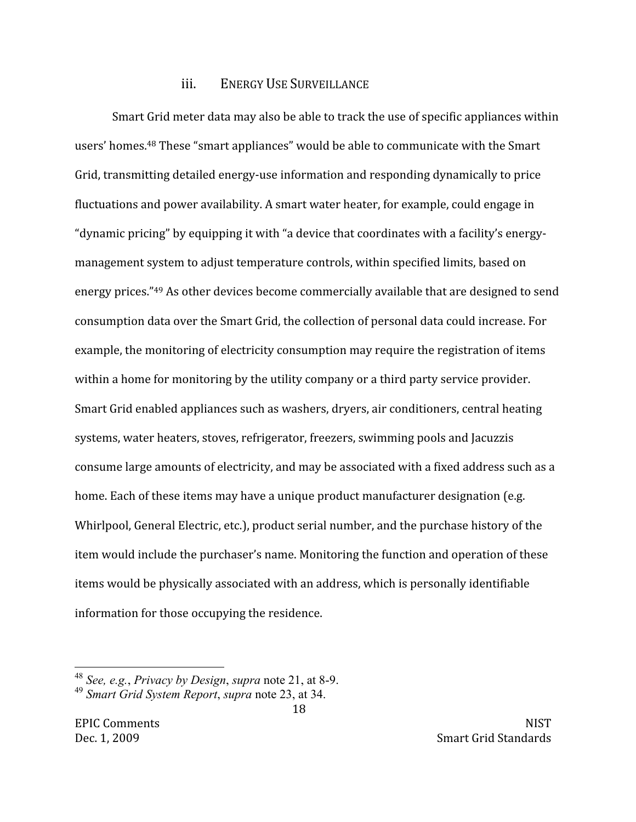### **ENERGY USE SURVEILLANCE** iii.

Smart Grid meter data may also be able to track the use of specific appliances within users' homes.<sup>48</sup> These "smart appliances" would be able to communicate with the Smart Grid, transmitting detailed energy-use information and responding dynamically to price fluctuations and power availability. A smart water heater, for example, could engage in "dynamic pricing" by equipping it with "a device that coordinates with a facility's energymanagement system to adjust temperature controls, within specified limits, based on energy prices."<sup>49</sup> As other devices become commercially available that are designed to send consumption data over the Smart Grid, the collection of personal data could increase. For example, the monitoring of electricity consumption may require the registration of items within a home for monitoring by the utility company or a third party service provider. Smart Grid enabled appliances such as washers, dryers, air conditioners, central heating systems, water heaters, stoves, refrigerator, freezers, swimming pools and Jacuzzis consume large amounts of electricity, and may be associated with a fixed address such as a home. Each of these items may have a unique product manufacturer designation (e.g. Whirlpool, General Electric, etc.), product serial number, and the purchase history of the item would include the purchaser's name. Monitoring the function and operation of these items would be physically associated with an address, which is personally identifiable information for those occupying the residence.

<sup>&</sup>lt;sup>48</sup> See, e.g., Privacy by Design, supra note 21, at 8-9.

<sup>&</sup>lt;sup>49</sup> Smart Grid System Report, supra note 23, at 34. 18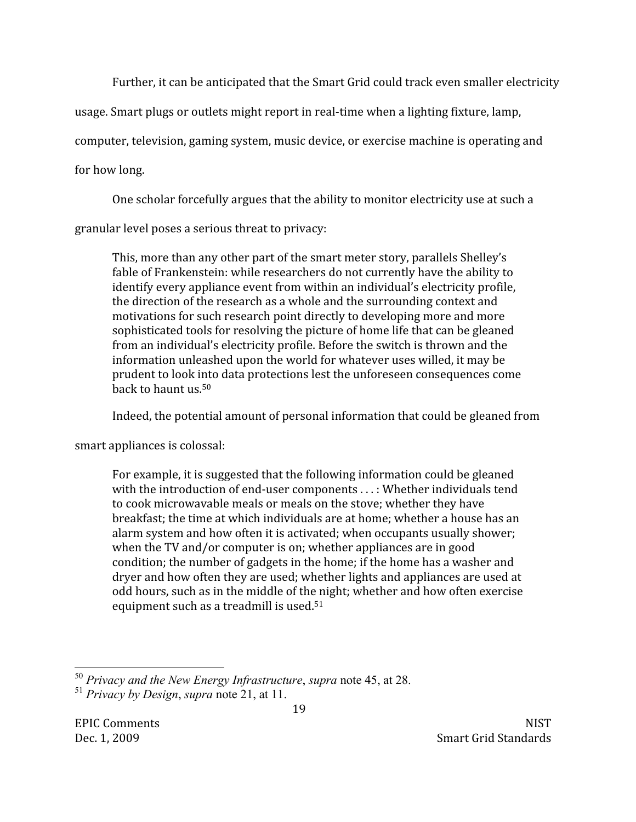Further, it can be anticipated that the Smart Grid could track even smaller electricity

usage. Smart plugs or outlets might report in real-time when a lighting fixture, lamp,

computer, television, gaming system, music device, or exercise machine is operating and

for how long.

One scholar forcefully argues that the ability to monitor electricity use at such a

granular level poses a serious threat to privacy:

This, more than any other part of the smart meter story, parallels Shelley's fable of Frankenstein: while researchers do not currently have the ability to identify every appliance event from within an individual's electricity profile. the direction of the research as a whole and the surrounding context and motivations for such research point directly to developing more and more sophisticated tools for resolving the picture of home life that can be gleaned from an individual's electricity profile. Before the switch is thrown and the information unleashed upon the world for whatever uses willed, it may be prudent to look into data protections lest the unforeseen consequences come back to haunt us.<sup>50</sup>

Indeed, the potential amount of personal information that could be gleaned from

smart appliances is colossal:

For example, it is suggested that the following information could be gleaned with the introduction of end-user components ...: Whether individuals tend to cook microwavable meals or meals on the stove; whether they have breakfast; the time at which individuals are at home; whether a house has an alarm system and how often it is activated; when occupants usually shower; when the TV and/or computer is on; whether appliances are in good condition; the number of gadgets in the home; if the home has a washer and dryer and how often they are used; whether lights and appliances are used at odd hours, such as in the middle of the night; whether and how often exercise equipment such as a treadmill is used.<sup>51</sup>

 $50$  Privacy and the New Energy Infrastructure, supra note 45, at 28.

<sup>&</sup>lt;sup>51</sup> Privacy by Design, supra note 21, at 11.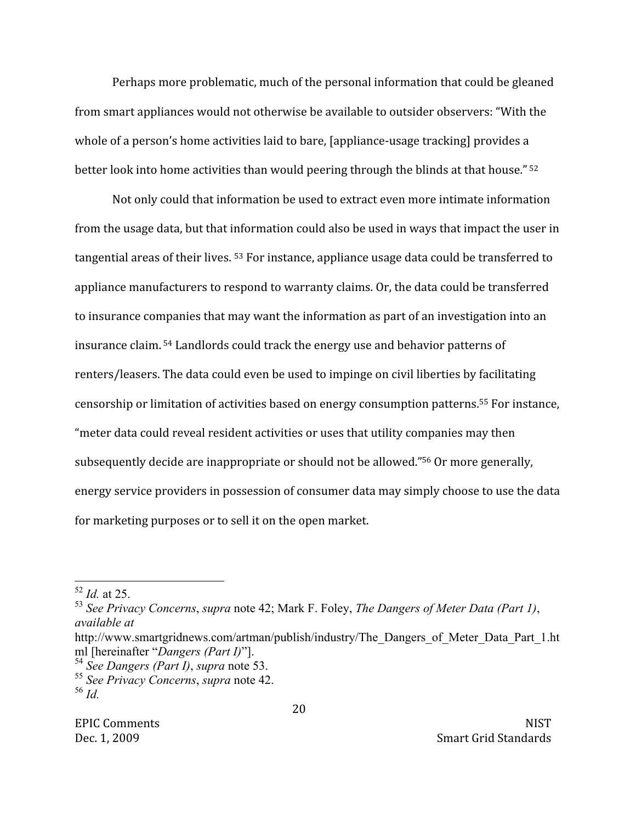Perhaps more problematic, much of the personal information that could be gleaned from smart appliances would not otherwise be available to outsider observers: "With the whole of a person's home activities laid to bare, [appliance-usage tracking] provides a better look into home activities than would peering through the blinds at that house." <sup>52</sup>

Not only could that information be used to extract even more intimate information from the usage data, but that information could also be used in ways that impact the user in tangential areas of their lives. <sup>53</sup> For instance, appliance usage data could be transferred to appliance manufacturers to respond to warranty claims. Or, the data could be transferred to insurance companies that may want the information as part of an investigation into an insurance claim.<sup>54</sup> Landlords could track the energy use and behavior patterns of renters/leasers. The data could even be used to impinge on civil liberties by facilitating censorship or limitation of activities based on energy consumption patterns.<sup>55</sup> For instance, "meter data could reveal resident activities or uses that utility companies may then subsequently decide are inappropriate or should not be allowed."<sup>56</sup> Or more generally, energy service providers in possession of consumer data may simply choose to use the data for marketing purposes or to sell it on the open market.

 $52$  *Id.* at 25.

 $^{53}$  See Privacy Concerns, supra note 42; Mark F. Foley, The Dangers of Meter Data (Part 1), available at

http://www.smartgridnews.com/artman/publish/industry/The Dangers of Meter Data Part 1.ht ml [hereinafter "Dangers (Part I)"].

 $54$  See Dangers (Part I), supra note 53.

<sup>&</sup>lt;sup>55</sup> See Privacy Concerns, supra note 42. <sup>56</sup> Id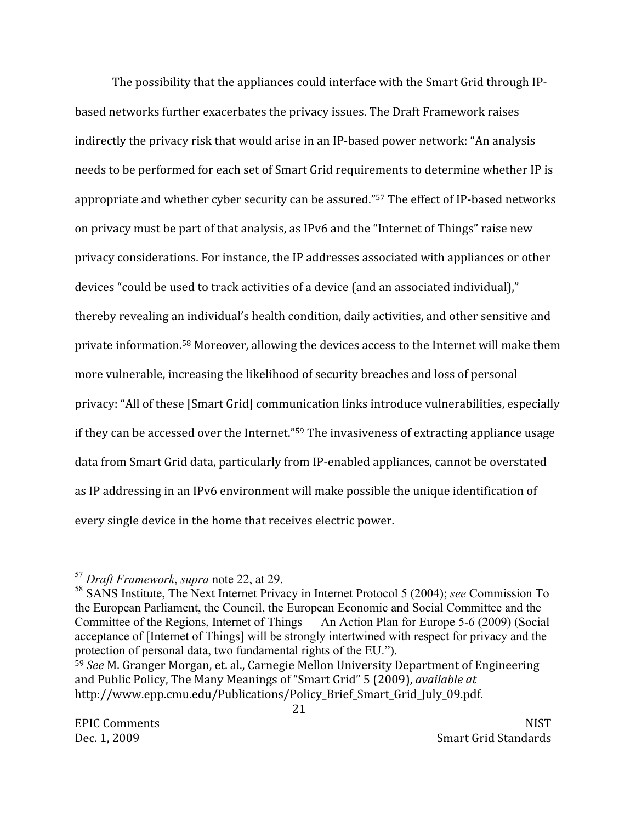The possibility that the appliances could interface with the Smart Grid through IPbased networks further exacerbates the privacy issues. The Draft Framework raises indirectly the privacy risk that would arise in an IP-based power network: "An analysis needs to be performed for each set of Smart Grid requirements to determine whether IP is appropriate and whether cyber security can be assured."<sup>57</sup> The effect of IP-based networks on privacy must be part of that analysis, as IPv6 and the "Internet of Things" raise new privacy considerations. For instance, the IP addresses associated with appliances or other devices "could be used to track activities of a device (and an associated individual)," thereby revealing an individual's health condition, daily activities, and other sensitive and private information.<sup>58</sup> Moreover, allowing the devices access to the Internet will make them more vulnerable, increasing the likelihood of security breaches and loss of personal privacy: "All of these [Smart Grid] communication links introduce vulnerabilities, especially if they can be accessed over the Internet."<sup>59</sup> The invasiveness of extracting appliance usage data from Smart Grid data, particularly from IP-enabled appliances, cannot be overstated as IP addressing in an IPv6 environment will make possible the unique identification of every single device in the home that receives electric power.

<sup>&</sup>lt;sup>57</sup> Draft Framework, supra note 22, at 29.

<sup>&</sup>lt;sup>58</sup> SANS Institute, The Next Internet Privacy in Internet Protocol 5 (2004); see Commission To the European Parliament, the Council, the European Economic and Social Committee and the Committee of the Regions, Internet of Things — An Action Plan for Europe 5-6 (2009) (Social acceptance of [Internet of Things] will be strongly intertwined with respect for privacy and the protection of personal data, two fundamental rights of the EU.").

<sup>&</sup>lt;sup>59</sup> See M. Granger Morgan, et. al., Carnegie Mellon University Department of Engineering and Public Policy, The Many Meanings of "Smart Grid" 5 (2009), available at http://www.epp.cmu.edu/Publications/Policy\_Brief\_Smart\_Grid\_July\_09.pdf.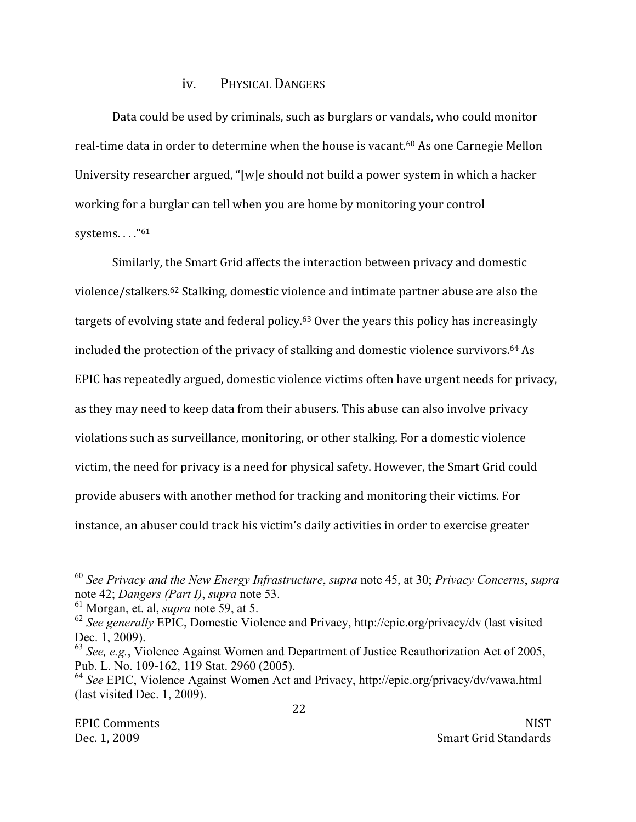#### PHYSICAL DANGERS iv.

Data could be used by criminals, such as burglars or vandals, who could monitor real-time data in order to determine when the house is vacant.<sup>60</sup> As one Carnegie Mellon University researcher argued, "[w]e should not build a power system in which a hacker working for a burglar can tell when you are home by monitoring your control systems...."<sup>61</sup>

Similarly, the Smart Grid affects the interaction between privacy and domestic violence/stalkers.<sup>62</sup> Stalking, domestic violence and intimate partner abuse are also the targets of evolving state and federal policy.<sup>63</sup> Over the years this policy has increasingly included the protection of the privacy of stalking and domestic violence survivors.<sup>64</sup> As EPIC has repeatedly argued, domestic violence victims often have urgent needs for privacy, as they may need to keep data from their abusers. This abuse can also involve privacy violations such as surveillance, monitoring, or other stalking. For a domestic violence victim, the need for privacy is a need for physical safety. However, the Smart Grid could provide abusers with another method for tracking and monitoring their victims. For instance, an abuser could track his victim's daily activities in order to exercise greater

 $60$  See Privacy and the New Energy Infrastructure, supra note 45, at 30; Privacy Concerns, supra note 42; Dangers (Part I), supra note 53.

 $<sup>61</sup>$  Morgan, et. al, *supra* note 59, at 5.</sup>

 $62$  See generally EPIC, Domestic Violence and Privacy, http://epic.org/privacy/dv (last visited Dec. 1, 2009).

 $^{63}$  See, e.g., Violence Against Women and Department of Justice Reauthorization Act of 2005, Pub. L. No. 109-162, 119 Stat. 2960 (2005).

 $64$  See EPIC, Violence Against Women Act and Privacy, http://epic.org/privacy/dv/vawa.html  $($ last visited Dec. 1, 2009).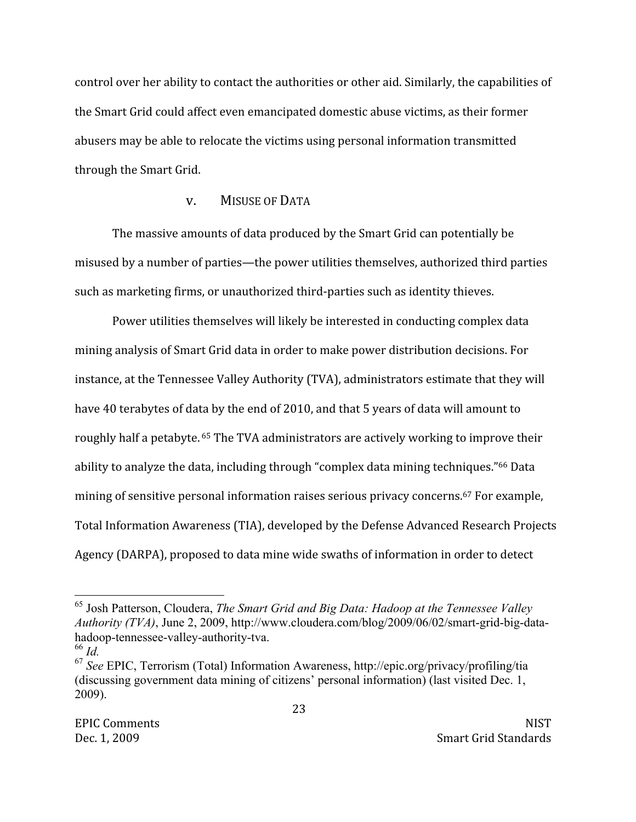control over her ability to contact the authorities or other aid. Similarly, the capabilities of the Smart Grid could affect even emancipated domestic abuse victims, as their former abusers may be able to relocate the victims using personal information transmitted through the Smart Grid.

### **MISUSE OF DATA**  $V_{\bullet}$

The massive amounts of data produced by the Smart Grid can potentially be misused by a number of parties—the power utilities themselves, authorized third parties such as marketing firms, or unauthorized third-parties such as identity thieves.

Power utilities themselves will likely be interested in conducting complex data mining analysis of Smart Grid data in order to make power distribution decisions. For instance, at the Tennessee Valley Authority (TVA), administrators estimate that they will have 40 terabytes of data by the end of 2010, and that 5 years of data will amount to roughly half a petabyte. <sup>65</sup> The TVA administrators are actively working to improve their ability to analyze the data, including through "complex data mining techniques."<sup>66</sup> Data mining of sensitive personal information raises serious privacy concerns.<sup>67</sup> For example, Total Information Awareness (TIA), developed by the Defense Advanced Research Projects Agency (DARPA), proposed to data mine wide swaths of information in order to detect

 $65$  Josh Patterson, Cloudera, The Smart Grid and Big Data: Hadoop at the Tennessee Valley *Authority (TVA)*, June 2, 2009, http://www.cloudera.com/blog/2009/06/02/smart-grid-big-datahadoop-tennessee-valley-authority-tva.

 $66$  Id.

 $67$  See EPIC, Terrorism (Total) Information Awareness, http://epic.org/privacy/profiling/tia (discussing government data mining of citizens' personal information) (last visited Dec. 1,  $2009$ ).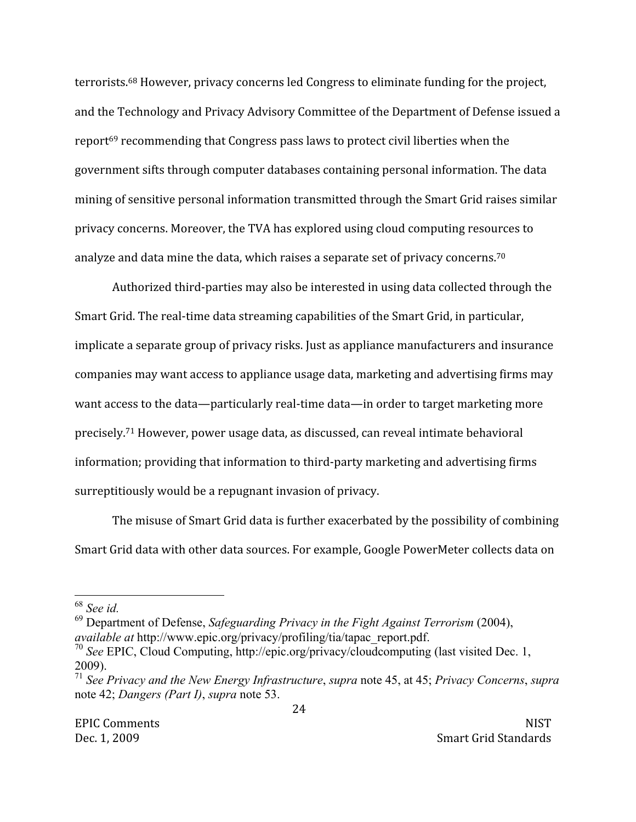terrorists.<sup>68</sup> However, privacy concerns led Congress to eliminate funding for the project, and the Technology and Privacy Advisory Committee of the Department of Defense issued a report<sup>69</sup> recommending that Congress pass laws to protect civil liberties when the government sifts through computer databases containing personal information. The data mining of sensitive personal information transmitted through the Smart Grid raises similar privacy concerns. Moreover, the TVA has explored using cloud computing resources to analyze and data mine the data, which raises a separate set of privacy concerns.<sup>70</sup>

Authorized third-parties may also be interested in using data collected through the Smart Grid. The real-time data streaming capabilities of the Smart Grid, in particular, implicate a separate group of privacy risks. Just as appliance manufacturers and insurance companies may want access to appliance usage data, marketing and advertising firms may want access to the data—particularly real-time data—in order to target marketing more precisely.<sup>71</sup> However, power usage data, as discussed, can reveal intimate behavioral information; providing that information to third-party marketing and advertising firms surreptitiously would be a repugnant invasion of privacy.

The misuse of Smart Grid data is further exacerbated by the possibility of combining Smart Grid data with other data sources. For example, Google PowerMeter collects data on

 $68$  See id.

 $^{69}$  Department of Defense, Safeguarding Privacy in the Fight Against Terrorism (2004), *available at http://www.epic.org/privacy/profiling/tia/tapac report.pdf.* 

 $^{70}$  See EPIC, Cloud Computing, http://epic.org/privacy/cloudcomputing (last visited Dec. 1,  $2009$ ).

 $71$  See Privacy and the New Energy Infrastructure, supra note 45, at 45; Privacy Concerns, supra note 42; Dangers (Part I), supra note 53.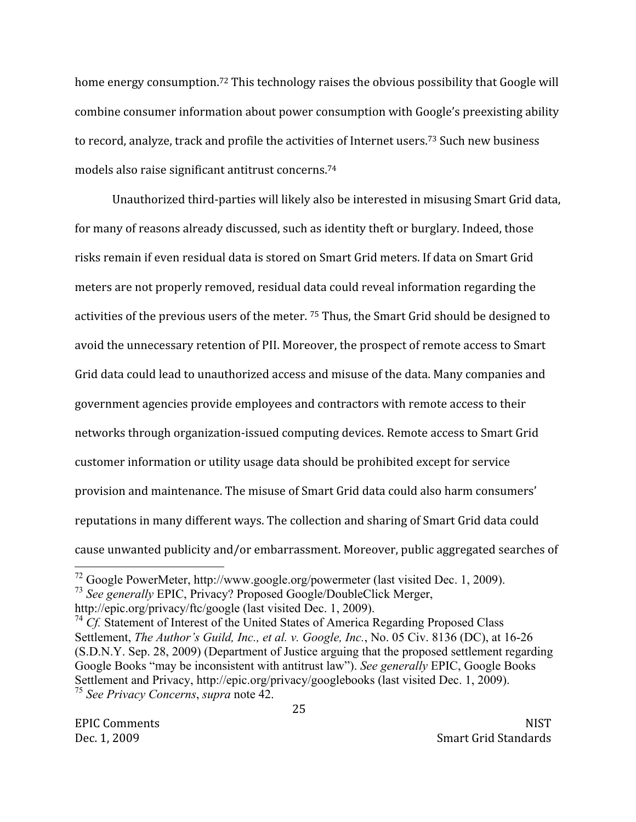home energy consumption.<sup>72</sup> This technology raises the obvious possibility that Google will combine consumer information about power consumption with Google's preexisting ability to record, analyze, track and profile the activities of Internet users.<sup>73</sup> Such new business models also raise significant antitrust concerns.<sup>74</sup>

Unauthorized third-parties will likely also be interested in misusing Smart Grid data, for many of reasons already discussed, such as identity theft or burglary. Indeed, those risks remain if even residual data is stored on Smart Grid meters. If data on Smart Grid meters are not properly removed, residual data could reveal information regarding the activities of the previous users of the meter. <sup>75</sup> Thus, the Smart Grid should be designed to avoid the unnecessary retention of PII. Moreover, the prospect of remote access to Smart Grid data could lead to unauthorized access and misuse of the data. Many companies and government agencies provide employees and contractors with remote access to their networks through organization-issued computing devices. Remote access to Smart Grid customer information or utility usage data should be prohibited except for service provision and maintenance. The misuse of Smart Grid data could also harm consumers' reputations in many different ways. The collection and sharing of Smart Grid data could cause unwanted publicity and/or embarrassment. Moreover, public aggregated searches of

 $^{72}$  Google PowerMeter, http://www.google.org/powermeter (last visited Dec. 1, 2009).

<sup>&</sup>lt;sup>73</sup> See generally EPIC, Privacy? Proposed Google/DoubleClick Merger,

http://epic.org/privacy/ftc/google (last visited Dec. 1, 2009).

 $^{74}$  Cf. Statement of Interest of the United States of America Regarding Proposed Class Settlement, The Author's Guild, Inc., et al. v. Google, Inc., No. 05 Civ. 8136 (DC), at 16-26 (S.D.N.Y. Sep. 28, 2009) (Department of Justice arguing that the proposed settlement regarding Google Books "may be inconsistent with antitrust law"). See generally EPIC, Google Books Settlement and Privacy, http://epic.org/privacy/googlebooks (last visited Dec. 1, 2009). <sup>75</sup> See Privacy Concerns, supra note 42.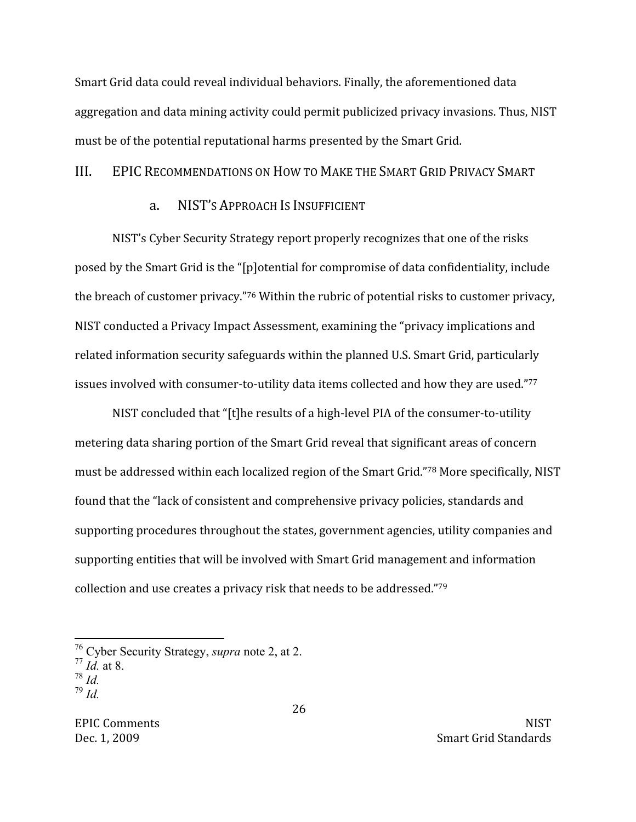Smart Grid data could reveal individual behaviors. Finally, the aforementioned data aggregation and data mining activity could permit publicized privacy invasions. Thus, NIST must be of the potential reputational harms presented by the Smart Grid.

#### $III.$ EPIC RECOMMENDATIONS ON HOW TO MAKE THE SMART GRID PRIVACY SMART

#### NIST'S APPROACH IS INSUFFICIENT a.

NIST's Cyber Security Strategy report properly recognizes that one of the risks posed by the Smart Grid is the "[p]otential for compromise of data confidentiality, include the breach of customer privacy."76 Within the rubric of potential risks to customer privacy, NIST conducted a Privacy Impact Assessment, examining the "privacy implications and related information security safeguards within the planned U.S. Smart Grid, particularly issues involved with consumer-to-utility data items collected and how they are used."77

NIST concluded that "[t]he results of a high-level PIA of the consumer-to-utility metering data sharing portion of the Smart Grid reveal that significant areas of concern must be addressed within each localized region of the Smart Grid."78 More specifically, NIST found that the "lack of consistent and comprehensive privacy policies, standards and supporting procedures throughout the states, government agencies, utility companies and supporting entities that will be involved with Smart Grid management and information collection and use creates a privacy risk that needs to be addressed."79

<sup>&</sup>lt;sup>76</sup> Cyber Security Strategy, *supra* note 2, at 2.

 $77$  *Id.* at 8.

 $78$   $\overline{Id}$ .

 $^{79}$  *M*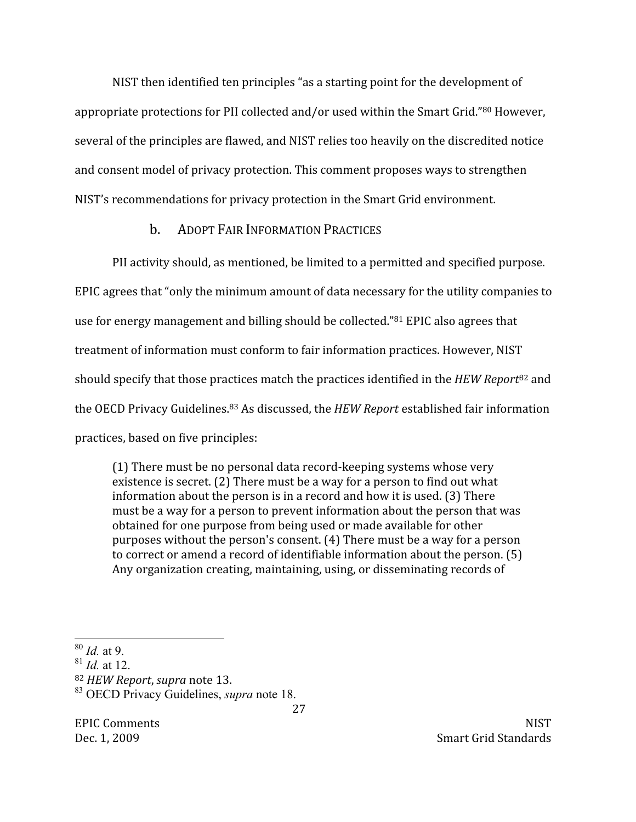NIST then identified ten principles "as a starting point for the development of appropriate protections for PII collected and/or used within the Smart Grid."80 However, several of the principles are flawed, and NIST relies too heavily on the discredited notice and consent model of privacy protection. This comment proposes ways to strengthen NIST's recommendations for privacy protection in the Smart Grid environment.

# **ADOPT FAIR INFORMATION PRACTICES**  $h_{-}$

PII activity should, as mentioned, be limited to a permitted and specified purpose. EPIC agrees that "only the minimum amount of data necessary for the utility companies to use for energy management and billing should be collected."<sup>81</sup> EPIC also agrees that treatment of information must conform to fair information practices. However, NIST should specify that those practices match the practices identified in the HEW Report<sup>82</sup> and the OECD Privacy Guidelines.<sup>83</sup> As discussed, the HEW Report established fair information practices, based on five principles:

(1) There must be no personal data record-keeping systems whose very existence is secret. (2) There must be a way for a person to find out what information about the person is in a record and how it is used. (3) There must be a way for a person to prevent information about the person that was obtained for one purpose from being used or made available for other purposes without the person's consent. (4) There must be a way for a person to correct or amend a record of identifiable information about the person. (5) Any organization creating, maintaining, using, or disseminating records of

**EPIC Comments** Dec. 1, 2009

**NIST** Smart Grid Standards

 $80$  *Id.* at 9.

 $^{81}$  *Id.* at 12.

<sup>&</sup>lt;sup>82</sup> HEW Report, supra note 13.

<sup>&</sup>lt;sup>83</sup> OECD Privacy Guidelines, *supra* note 18.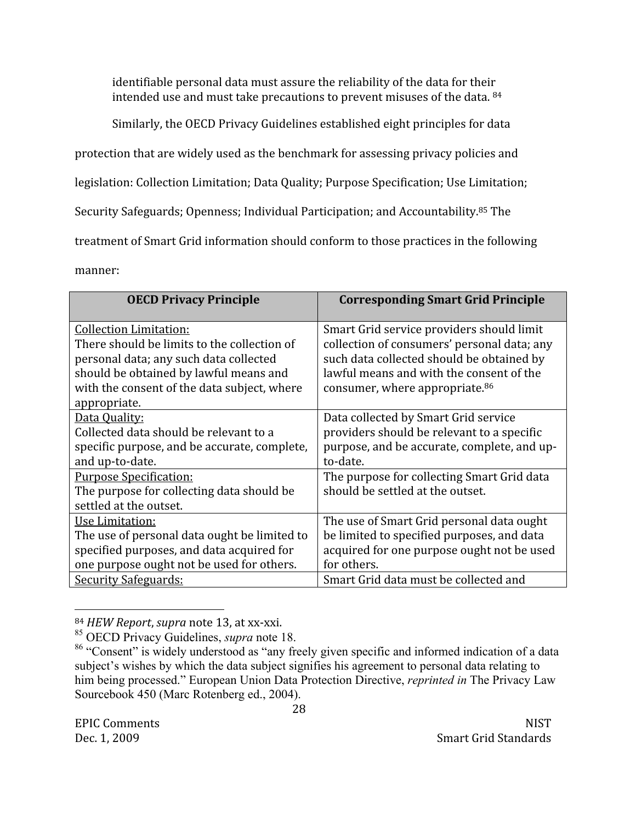identifiable personal data must assure the reliability of the data for their intended use and must take precautions to prevent misuses of the data. 84

Similarly, the OECD Privacy Guidelines established eight principles for data

protection that are widely used as the benchmark for assessing privacy policies and

legislation: Collection Limitation; Data Quality; Purpose Specification; Use Limitation;

Security Safeguards; Openness; Individual Participation; and Accountability.<sup>85</sup> The

treatment of Smart Grid information should conform to those practices in the following

manner:

| <b>OECD Privacy Principle</b>                                                                         | <b>Corresponding Smart Grid Principle</b>                                                |
|-------------------------------------------------------------------------------------------------------|------------------------------------------------------------------------------------------|
| <b>Collection Limitation:</b><br>There should be limits to the collection of                          | Smart Grid service providers should limit<br>collection of consumers' personal data; any |
| personal data; any such data collected                                                                | such data collected should be obtained by                                                |
| should be obtained by lawful means and<br>with the consent of the data subject, where<br>appropriate. | lawful means and with the consent of the<br>consumer, where appropriate. <sup>86</sup>   |
| Data Quality:                                                                                         | Data collected by Smart Grid service                                                     |
| Collected data should be relevant to a                                                                | providers should be relevant to a specific                                               |
| specific purpose, and be accurate, complete,                                                          | purpose, and be accurate, complete, and up-                                              |
| and up-to-date.                                                                                       | to-date.                                                                                 |
| <b>Purpose Specification:</b>                                                                         | The purpose for collecting Smart Grid data                                               |
| The purpose for collecting data should be                                                             | should be settled at the outset.                                                         |
| settled at the outset.                                                                                |                                                                                          |
| Use Limitation:                                                                                       | The use of Smart Grid personal data ought                                                |
| The use of personal data ought be limited to                                                          | be limited to specified purposes, and data                                               |
| specified purposes, and data acquired for                                                             | acquired for one purpose ought not be used                                               |
| one purpose ought not be used for others.                                                             | for others.                                                                              |
| <b>Security Safeguards:</b>                                                                           | Smart Grid data must be collected and                                                    |

<sup>84</sup> HEW Report, supra note 13, at xx-xxi.

<sup>&</sup>lt;sup>85</sup> OECD Privacy Guidelines, *supra* note 18.

<sup>&</sup>lt;sup>86</sup> "Consent" is widely understood as "any freely given specific and informed indication of a data subject's wishes by which the data subject signifies his agreement to personal data relating to him being processed." European Union Data Protection Directive, *reprinted in* The Privacy Law Sourcebook 450 (Marc Rotenberg ed., 2004).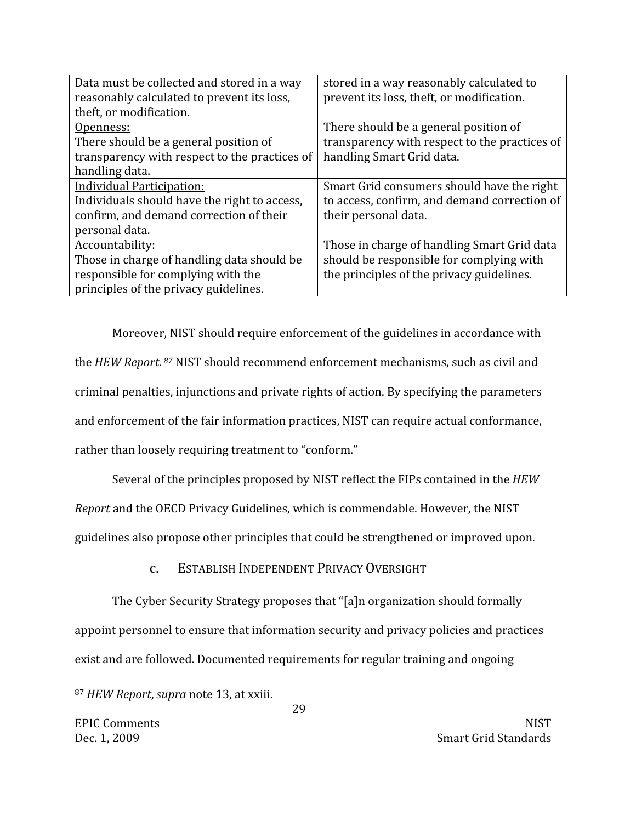| Data must be collected and stored in a way    | stored in a way reasonably calculated to      |
|-----------------------------------------------|-----------------------------------------------|
| reasonably calculated to prevent its loss,    | prevent its loss, theft, or modification.     |
| theft, or modification.                       |                                               |
| Openness:                                     | There should be a general position of         |
| There should be a general position of         | transparency with respect to the practices of |
| transparency with respect to the practices of | handling Smart Grid data.                     |
| handling data.                                |                                               |
| <b>Individual Participation:</b>              | Smart Grid consumers should have the right    |
| Individuals should have the right to access,  | to access, confirm, and demand correction of  |
| confirm, and demand correction of their       | their personal data.                          |
| personal data.                                |                                               |
| Accountability:                               | Those in charge of handling Smart Grid data   |
| Those in charge of handling data should be    | should be responsible for complying with      |
| responsible for complying with the            | the principles of the privacy guidelines.     |
| principles of the privacy guidelines.         |                                               |

Moreover, NIST should require enforcement of the guidelines in accordance with the HEW Report.<sup>87</sup> NIST should recommend enforcement mechanisms, such as civil and criminal penalties, injunctions and private rights of action. By specifying the parameters and enforcement of the fair information practices, NIST can require actual conformance, rather than loosely requiring treatment to "conform."

Several of the principles proposed by NIST reflect the FIPs contained in the HEW

Report and the OECD Privacy Guidelines, which is commendable. However, the NIST

guidelines also propose other principles that could be strengthened or improved upon.

ESTABLISH INDEPENDENT PRIVACY OVERSIGHT  $C_{\bullet}$ 

The Cyber Security Strategy proposes that "[a]n organization should formally appoint personnel to ensure that information security and privacy policies and practices exist and are followed. Documented requirements for regular training and ongoing

<sup>87</sup> HEW Report, supra note 13, at xxiii.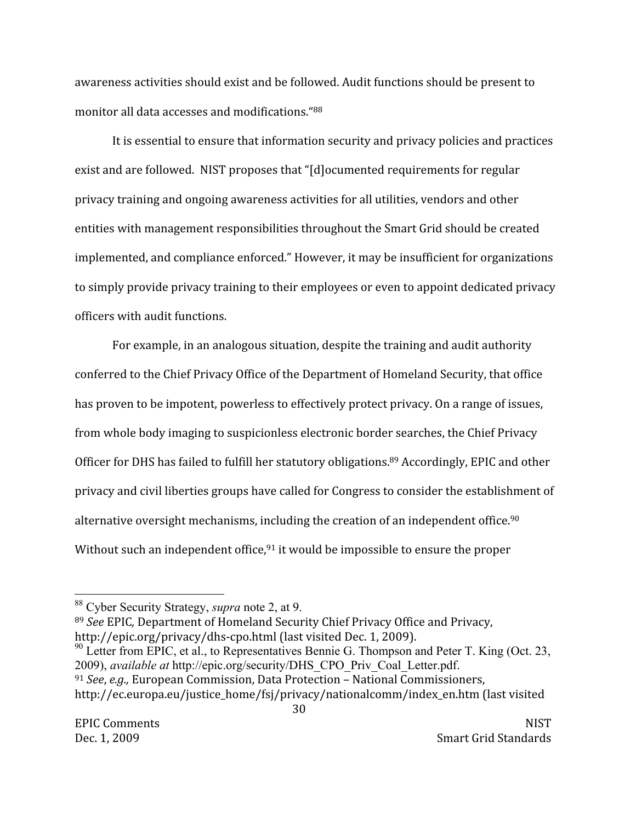awareness activities should exist and be followed. Audit functions should be present to monitor all data accesses and modifications. "88

It is essential to ensure that information security and privacy policies and practices exist and are followed. NIST proposes that "[d] ocumented requirements for regular privacy training and ongoing awareness activities for all utilities, vendors and other entities with management responsibilities throughout the Smart Grid should be created implemented, and compliance enforced." However, it may be insufficient for organizations to simply provide privacy training to their employees or even to appoint dedicated privacy officers with audit functions.

For example, in an analogous situation, despite the training and audit authority conferred to the Chief Privacy Office of the Department of Homeland Security, that office has proven to be impotent, powerless to effectively protect privacy. On a range of issues, from whole body imaging to suspicionless electronic border searches, the Chief Privacy Officer for DHS has failed to fulfill her statutory obligations.<sup>89</sup> Accordingly, EPIC and other privacy and civil liberties groups have called for Congress to consider the establishment of alternative oversight mechanisms, including the creation of an independent office.<sup>90</sup> Without such an independent office,<sup>91</sup> it would be impossible to ensure the proper

89 See EPIC, Department of Homeland Security Chief Privacy Office and Privacy, http://epic.org/privacy/dhs-cpo.html (last visited Dec. 1, 2009).

 $^{90}$  Letter from EPIC, et al., to Representatives Bennie G. Thompson and Peter T. King (Oct. 23, 2009), available at http://epic.org/security/DHS\_CPO\_Priv\_Coal\_Letter.pdf. <sup>91</sup> See, e.g., European Commission, Data Protection - National Commissioners,

http://ec.europa.eu/justice\_home/fsj/privacy/nationalcomm/index\_en.htm (last visited

<sup>&</sup>lt;sup>88</sup> Cyber Security Strategy, *supra* note 2, at 9.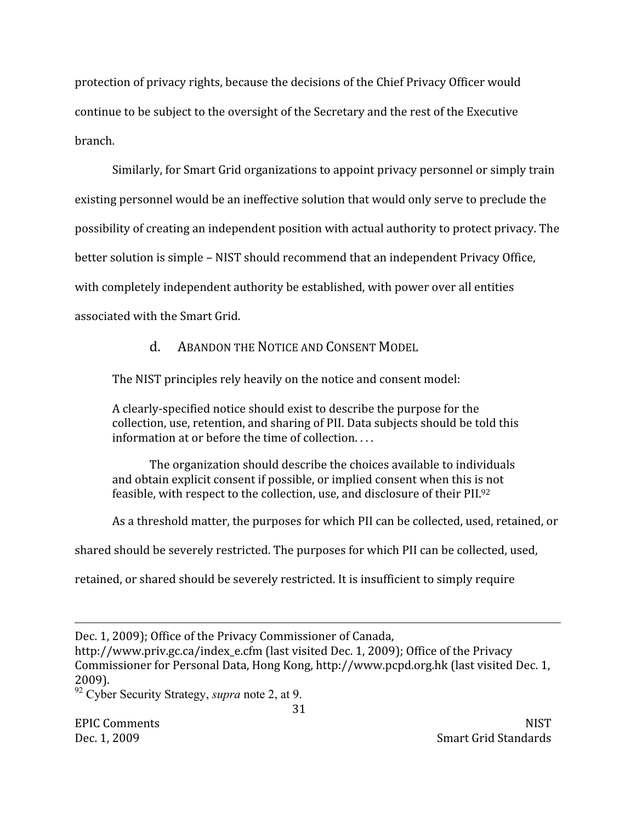protection of privacy rights, because the decisions of the Chief Privacy Officer would continue to be subject to the oversight of the Secretary and the rest of the Executive hranch

Similarly, for Smart Grid organizations to appoint privacy personnel or simply train existing personnel would be an ineffective solution that would only serve to preclude the possibility of creating an independent position with actual authority to protect privacy. The better solution is simple – NIST should recommend that an independent Privacy Office. with completely independent authority be established, with power over all entities associated with the Smart Grid.

> **ABANDON THE NOTICE AND CONSENT MODEL**  $\mathbf{d}$

The NIST principles rely heavily on the notice and consent model:

A clearly-specified notice should exist to describe the purpose for the collection, use, retention, and sharing of PII. Data subjects should be told this information at or before the time of collection....

The organization should describe the choices available to individuals and obtain explicit consent if possible, or implied consent when this is not feasible, with respect to the collection, use, and disclosure of their PII.92

As a threshold matter, the purposes for which PII can be collected, used, retained, or

shared should be severely restricted. The purposes for which PII can be collected, used,

retained, or shared should be severely restricted. It is insufficient to simply require

http://www.priv.gc.ca/index\_e.cfm (last visited Dec. 1, 2009); Office of the Privacy Commissioner for Personal Data, Hong Kong, http://www.pcpd.org.hk (last visited Dec. 1, 2009).

**EPIC Comments** Dec. 1, 2009

**NIST** Smart Grid Standards

Dec. 1, 2009); Office of the Privacy Commissioner of Canada,

<sup>&</sup>lt;sup>92</sup> Cyber Security Strategy, *supra* note 2, at 9.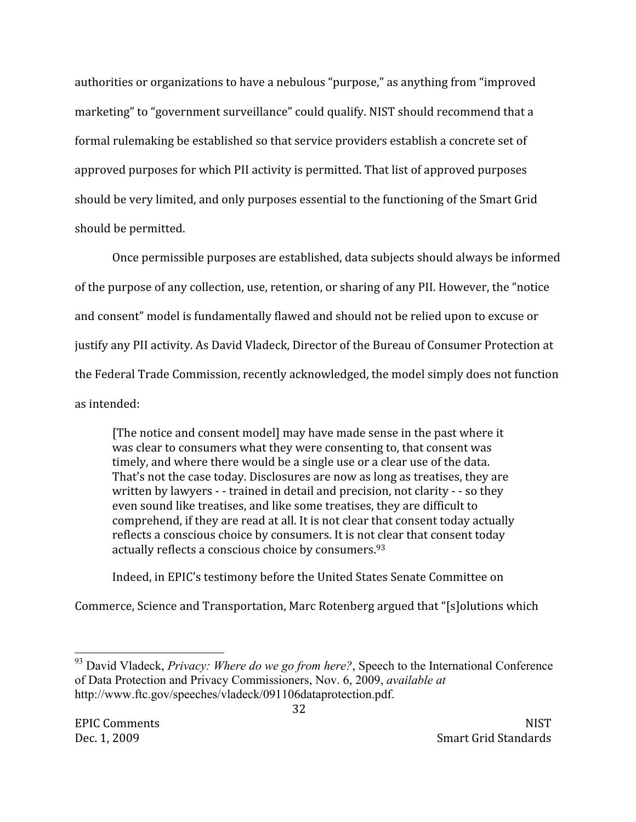authorities or organizations to have a nebulous "purpose," as anything from "improved marketing" to "government surveillance" could qualify. NIST should recommend that a formal rulemaking be established so that service providers establish a concrete set of approved purposes for which PII activity is permitted. That list of approved purposes should be very limited, and only purposes essential to the functioning of the Smart Grid should be permitted.

Once permissible purposes are established, data subjects should always be informed of the purpose of any collection, use, retention, or sharing of any PII. However, the "notice" and consent" model is fundamentally flawed and should not be relied upon to excuse or justify any PII activity. As David Vladeck, Director of the Bureau of Consumer Protection at the Federal Trade Commission, recently acknowledged, the model simply does not function as intended:

[The notice and consent model] may have made sense in the past where it was clear to consumers what they were consenting to, that consent was timely, and where there would be a single use or a clear use of the data. That's not the case today. Disclosures are now as long as treatises, they are written by lawyers - - trained in detail and precision, not clarity - - so they even sound like treatises, and like some treatises, they are difficult to comprehend, if they are read at all. It is not clear that consent today actually reflects a conscious choice by consumers. It is not clear that consent today actually reflects a conscious choice by consumers.<sup>93</sup>

Indeed, in EPIC's testimony before the United States Senate Committee on

Commerce, Science and Transportation, Marc Rotenberg argued that "[s]olutions which

<sup>&</sup>lt;sup>93</sup> David Vladeck, Privacy: Where do we go from here?, Speech to the International Conference of Data Protection and Privacy Commissioners, Nov. 6, 2009, available at http://www.ftc.gov/speeches/vladeck/091106dataprotection.pdf.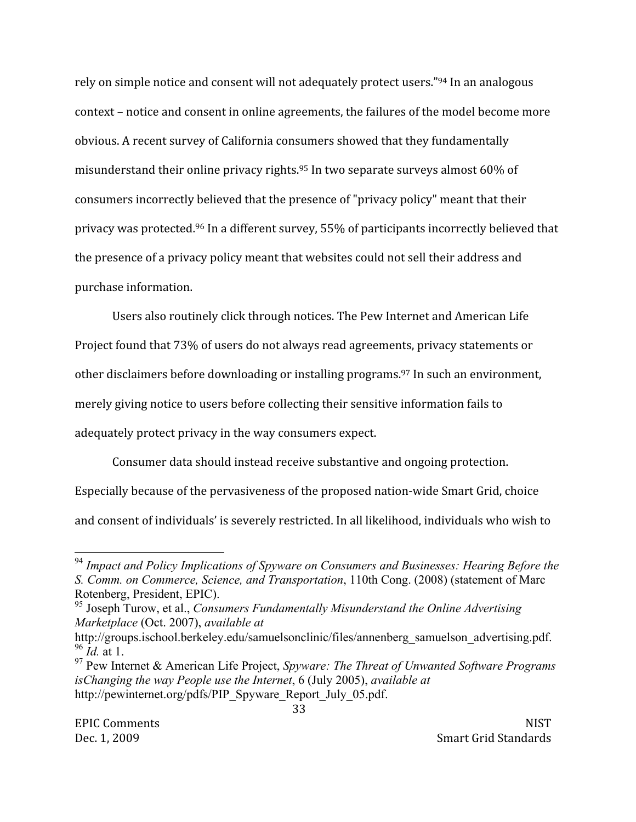rely on simple notice and consent will not adequately protect users."94 In an analogous context – notice and consent in online agreements, the failures of the model become more obvious. A recent survey of California consumers showed that they fundamentally misunderstand their online privacy rights.<sup>95</sup> In two separate surveys almost 60% of consumers incorrectly believed that the presence of "privacy policy" meant that their privacy was protected.<sup>96</sup> In a different survey, 55% of participants incorrectly believed that the presence of a privacy policy meant that websites could not sell their address and purchase information.

Users also routinely click through notices. The Pew Internet and American Life

Project found that 73% of users do not always read agreements, privacy statements or

other disclaimers before downloading or installing programs.<sup>97</sup> In such an environment,

merely giving notice to users before collecting their sensitive information fails to

adequately protect privacy in the way consumers expect.

Consumer data should instead receive substantive and ongoing protection.

Especially because of the pervasiveness of the proposed nation-wide Smart Grid, choice

and consent of individuals' is severely restricted. In all likelihood, individuals who wish to

<sup>&</sup>lt;sup>94</sup> Impact and Policy Implications of Spyware on Consumers and Businesses: Hearing Before the S. Comm. on Commerce, Science, and Transportation, 110th Cong. (2008) (statement of Marc Rotenberg, President, EPIC).

<sup>&</sup>lt;sup>95</sup> Joseph Turow, et al., Consumers Fundamentally Misunderstand the Online Advertising Marketplace (Oct. 2007), available at

http://groups.ischool.berkeley.edu/samuelsonclinic/files/annenberg samuelson advertising.pdf.  $^{96}$  *Id.* at 1.

 $97$  Pew Internet & American Life Project, Spyware: The Threat of Unwanted Software Programs is Changing the way People use the Internet, 6 (July 2005), available at http://pewinternet.org/pdfs/PIP Spyware Report July 05.pdf.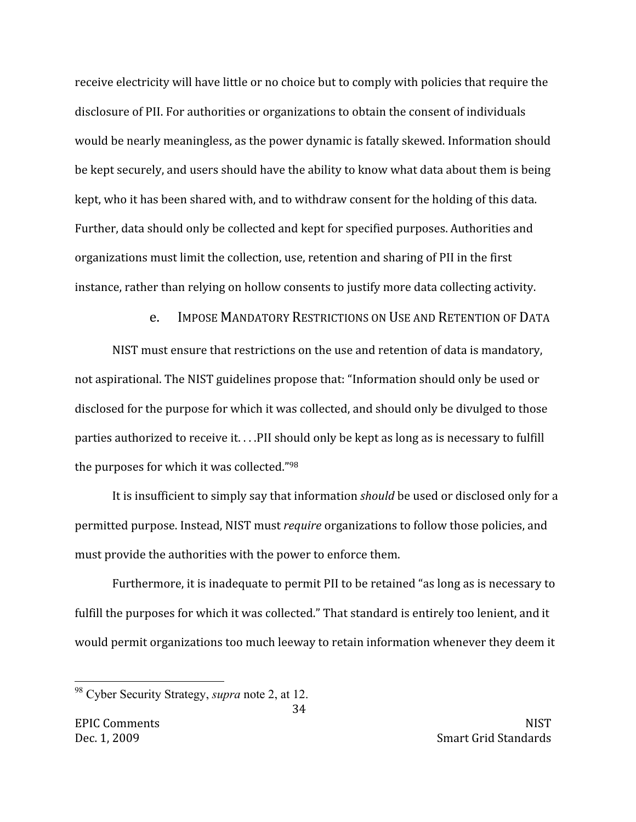receive electricity will have little or no choice but to comply with policies that require the disclosure of PII. For authorities or organizations to obtain the consent of individuals would be nearly meaningless, as the power dynamic is fatally skewed. Information should be kept securely, and users should have the ability to know what data about them is being kept, who it has been shared with, and to withdraw consent for the holding of this data. Further, data should only be collected and kept for specified purposes. Authorities and organizations must limit the collection, use, retention and sharing of PII in the first instance, rather than relying on hollow consents to justify more data collecting activity.

> **IMPOSE MANDATORY RESTRICTIONS ON USE AND RETENTION OF DATA**  $e_{1}$

NIST must ensure that restrictions on the use and retention of data is mandatory, not aspirational. The NIST guidelines propose that: "Information should only be used or disclosed for the purpose for which it was collected, and should only be divulged to those parties authorized to receive it....PII should only be kept as long as is necessary to fulfill the purposes for which it was collected."98

It is insufficient to simply say that information should be used or disclosed only for a permitted purpose. Instead, NIST must *require* organizations to follow those policies, and must provide the authorities with the power to enforce them.

Furthermore, it is inadequate to permit PII to be retained "as long as is necessary to fulfill the purposes for which it was collected." That standard is entirely too lenient, and it would permit organizations too much leeway to retain information whenever they deem it

34

<sup>&</sup>lt;sup>98</sup> Cyber Security Strategy, *supra* note 2, at 12.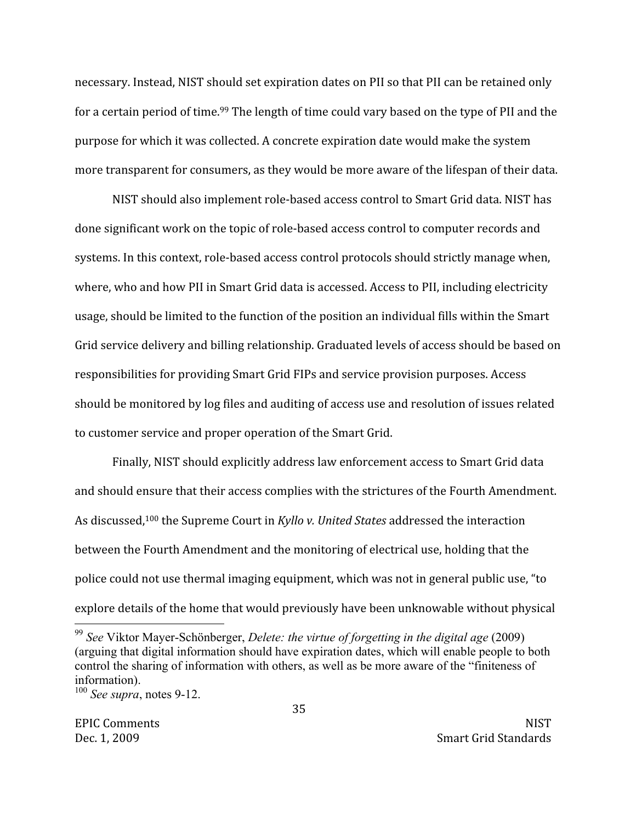necessary. Instead, NIST should set expiration dates on PII so that PII can be retained only for a certain period of time.<sup>99</sup> The length of time could vary based on the type of PII and the purpose for which it was collected. A concrete expiration date would make the system more transparent for consumers, as they would be more aware of the lifespan of their data.

NIST should also implement role-based access control to Smart Grid data. NIST has done significant work on the topic of role-based access control to computer records and systems. In this context, role-based access control protocols should strictly manage when, where, who and how PII in Smart Grid data is accessed. Access to PII, including electricity usage, should be limited to the function of the position an individual fills within the Smart Grid service delivery and billing relationship. Graduated levels of access should be based on responsibilities for providing Smart Grid FIPs and service provision purposes. Access should be monitored by log files and auditing of access use and resolution of issues related to customer service and proper operation of the Smart Grid.

Finally, NIST should explicitly address law enforcement access to Smart Grid data and should ensure that their access complies with the strictures of the Fourth Amendment. As discussed,<sup>100</sup> the Supreme Court in Kyllo v. United States addressed the interaction between the Fourth Amendment and the monitoring of electrical use, holding that the police could not use thermal imaging equipment, which was not in general public use, "to explore details of the home that would previously have been unknowable without physical

 $99$  See Viktor Maver-Schönberger, Delete: the virtue of forgetting in the digital age (2009) (arguing that digital information should have expiration dates, which will enable people to both control the sharing of information with others, as well as be more aware of the "finiteness of information).

 $100$  See supra, notes 9-12.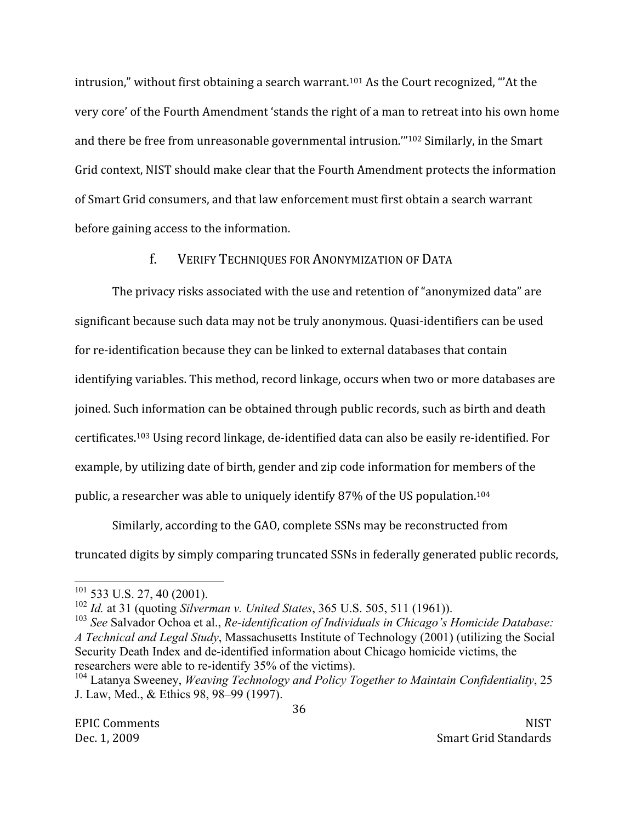intrusion," without first obtaining a search warrant.<sup>101</sup> As the Court recognized, "At the very core' of the Fourth Amendment 'stands the right of a man to retreat into his own home and there be free from unreasonable governmental intrusion."<sup>102</sup> Similarly, in the Smart Grid context, NIST should make clear that the Fourth Amendment protects the information of Smart Grid consumers, and that law enforcement must first obtain a search warrant before gaining access to the information.

# $f_{\perp}$ **VERIFY TECHNIQUES FOR ANONYMIZATION OF DATA**

The privacy risks associated with the use and retention of "anonymized data" are significant because such data may not be truly anonymous. Quasi-identifiers can be used for re-identification because they can be linked to external databases that contain identifying variables. This method, record linkage, occurs when two or more databases are joined. Such information can be obtained through public records, such as birth and death certificates.<sup>103</sup> Using record linkage, de-identified data can also be easily re-identified. For example, by utilizing date of birth, gender and zip code information for members of the public, a researcher was able to uniquely identify 87% of the US population.<sup>104</sup>

Similarly, according to the GAO, complete SSNs may be reconstructed from truncated digits by simply comparing truncated SSNs in federally generated public records,

 $101$  533 U.S. 27, 40 (2001).

 $102$  *Id.* at 31 (quoting *Silverman v. United States, 365 U.S. 505, 511 (1961)).* 

 $103$  See Salvador Ochoa et al., Re-identification of Individuals in Chicago's Homicide Database: A Technical and Legal Study, Massachusetts Institute of Technology (2001) (utilizing the Social Security Death Index and de-identified information about Chicago homicide victims, the researchers were able to re-identify 35% of the victims).

 $104$  Latanya Sweeney, *Weaving Technology and Policy Together to Maintain Confidentiality*, 25 J. Law, Med., & Ethics 98, 98–99 (1997).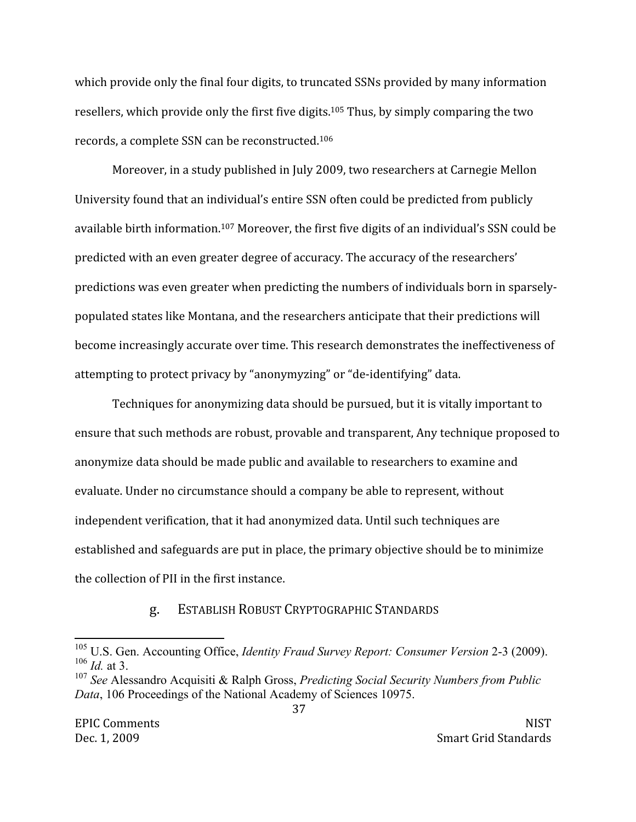which provide only the final four digits, to truncated SSNs provided by many information resellers, which provide only the first five digits.<sup>105</sup> Thus, by simply comparing the two records, a complete SSN can be reconstructed.<sup>106</sup>

Moreover, in a study published in July 2009, two researchers at Carnegie Mellon University found that an individual's entire SSN often could be predicted from publicly available birth information.<sup>107</sup> Moreover, the first five digits of an individual's SSN could be predicted with an even greater degree of accuracy. The accuracy of the researchers' predictions was even greater when predicting the numbers of individuals born in sparselypopulated states like Montana, and the researchers anticipate that their predictions will become increasingly accurate over time. This research demonstrates the ineffectiveness of attempting to protect privacy by "anonymyzing" or "de-identifying" data.

Techniques for anonymizing data should be pursued, but it is vitally important to ensure that such methods are robust, provable and transparent, Any technique proposed to anonymize data should be made public and available to researchers to examine and evaluate. Under no circumstance should a company be able to represent, without independent verification, that it had anonymized data. Until such techniques are established and safeguards are put in place, the primary objective should be to minimize the collection of PII in the first instance.

# ESTABLISH ROBUST CRYPTOGRAPHIC STANDARDS g.

<sup>&</sup>lt;sup>105</sup> U.S. Gen. Accounting Office, *Identity Fraud Survey Report: Consumer Version* 2-3 (2009).  $106$  *Id.* at 3.

<sup>&</sup>lt;sup>107</sup> See Alessandro Acquisiti & Ralph Gross, *Predicting Social Security Numbers from Public* Data, 106 Proceedings of the National Academy of Sciences 10975.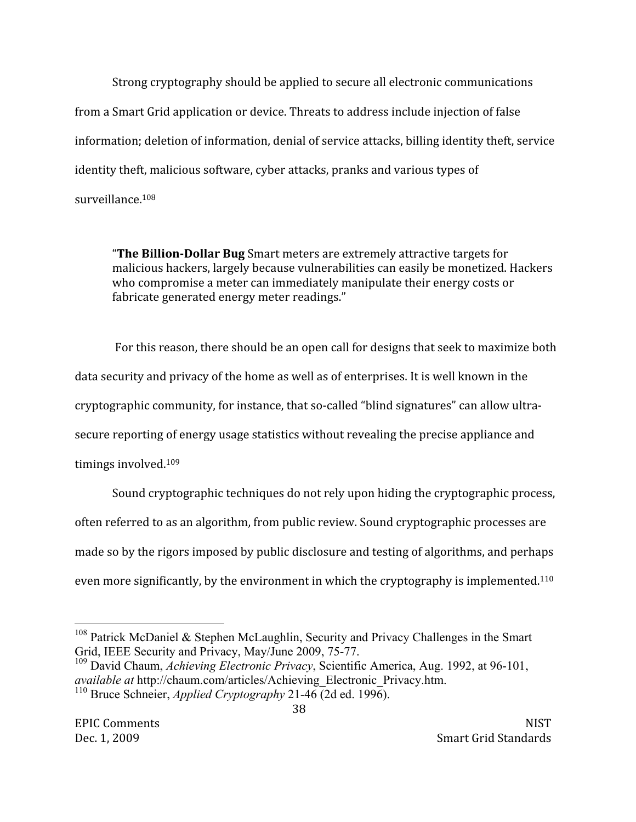Strong cryptography should be applied to secure all electronic communications from a Smart Grid application or device. Threats to address include injection of false information; deletion of information, denial of service attacks, billing identity theft, service identity theft, malicious software, cyber attacks, pranks and various types of surveillance.<sup>108</sup>

"The Billion-Dollar Bug Smart meters are extremely attractive targets for malicious hackers, largely because vulnerabilities can easily be monetized. Hackers who compromise a meter can immediately manipulate their energy costs or fabricate generated energy meter readings."

For this reason, there should be an open call for designs that seek to maximize both data security and privacy of the home as well as of enterprises. It is well known in the cryptographic community, for instance, that so-called "blind signatures" can allow ultrasecure reporting of energy usage statistics without revealing the precise appliance and timings involved.<sup>109</sup>

Sound cryptographic techniques do not rely upon hiding the cryptographic process, often referred to as an algorithm, from public review. Sound cryptographic processes are made so by the rigors imposed by public disclosure and testing of algorithms, and perhaps even more significantly, by the environment in which the cryptography is implemented.<sup>110</sup>

38

<sup>&</sup>lt;sup>108</sup> Patrick McDaniel & Stephen McLaughlin, Security and Privacy Challenges in the Smart Grid, IEEE Security and Privacy, May/June 2009, 75-77.

<sup>&</sup>lt;sup>109</sup> David Chaum, *Achieving Electronic Privacy*, Scientific America, Aug. 1992, at 96-101, *available at http://chaum.com/articles/Achieving Electronic Privacy.htm.* <sup>110</sup> Bruce Schneier, *Applied Cryptography* 21-46 (2d ed. 1996).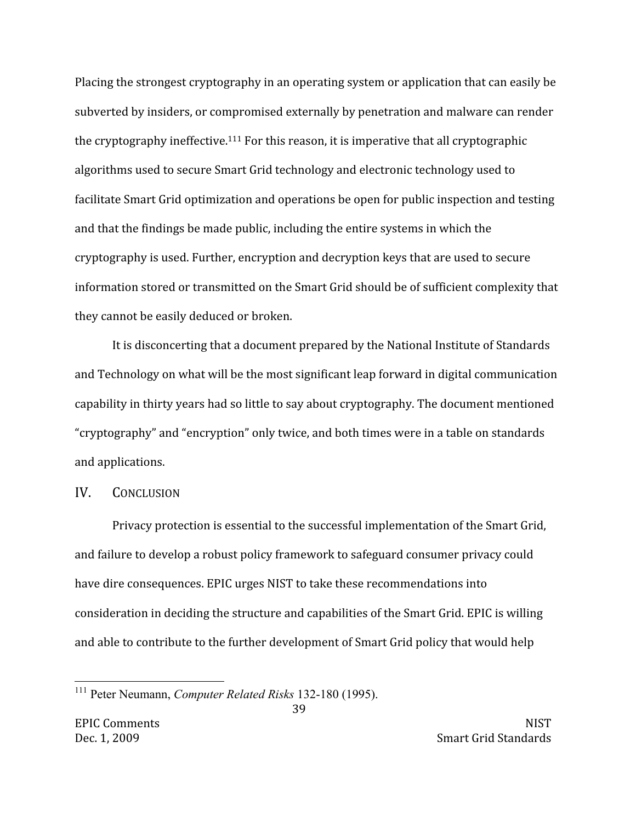Placing the strongest cryptography in an operating system or application that can easily be subverted by insiders, or compromised externally by penetration and malware can render the cryptography ineffective.<sup>111</sup> For this reason, it is imperative that all cryptographic algorithms used to secure Smart Grid technology and electronic technology used to facilitate Smart Grid optimization and operations be open for public inspection and testing and that the findings be made public, including the entire systems in which the cryptography is used. Further, encryption and decryption keys that are used to secure information stored or transmitted on the Smart Grid should be of sufficient complexity that they cannot be easily deduced or broken.

It is disconcerting that a document prepared by the National Institute of Standards and Technology on what will be the most significant leap forward in digital communication capability in thirty years had so little to say about cryptography. The document mentioned "cryptography" and "encryption" only twice, and both times were in a table on standards and applications.

### IV. **CONCLUSION**

Privacy protection is essential to the successful implementation of the Smart Grid, and failure to develop a robust policy framework to safeguard consumer privacy could have dire consequences. EPIC urges NIST to take these recommendations into consideration in deciding the structure and capabilities of the Smart Grid. EPIC is willing and able to contribute to the further development of Smart Grid policy that would help

39

<sup>&</sup>lt;sup>111</sup> Peter Neumann, *Computer Related Risks* 132-180 (1995).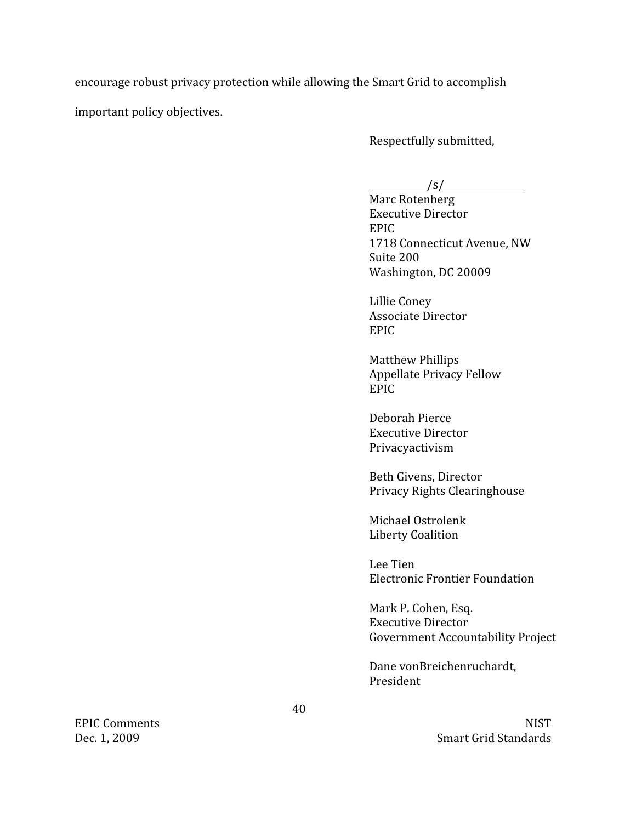encourage robust privacy protection while allowing the Smart Grid to accomplish

important policy objectives.

Respectfully submitted,

 $\sqrt{s}$ 

Marc Rotenberg **Executive Director** EPIC. 1718 Connecticut Avenue, NW Suite 200 Washington, DC 20009

Lillie Coney **Associate Director EPIC** 

**Matthew Phillips Appellate Privacy Fellow EPIC** 

Deborah Pierce **Executive Director** Privacyactivism

Beth Givens, Director Privacy Rights Clearinghouse

Michael Ostrolenk Liberty Coalition

Lee Tien **Electronic Frontier Foundation** 

Mark P. Cohen, Esq. **Executive Director Government Accountability Project** 

Dane vonBreichenruchardt, President

> **NIST Smart Grid Standards**

**EPIC Comments** Dec. 1, 2009